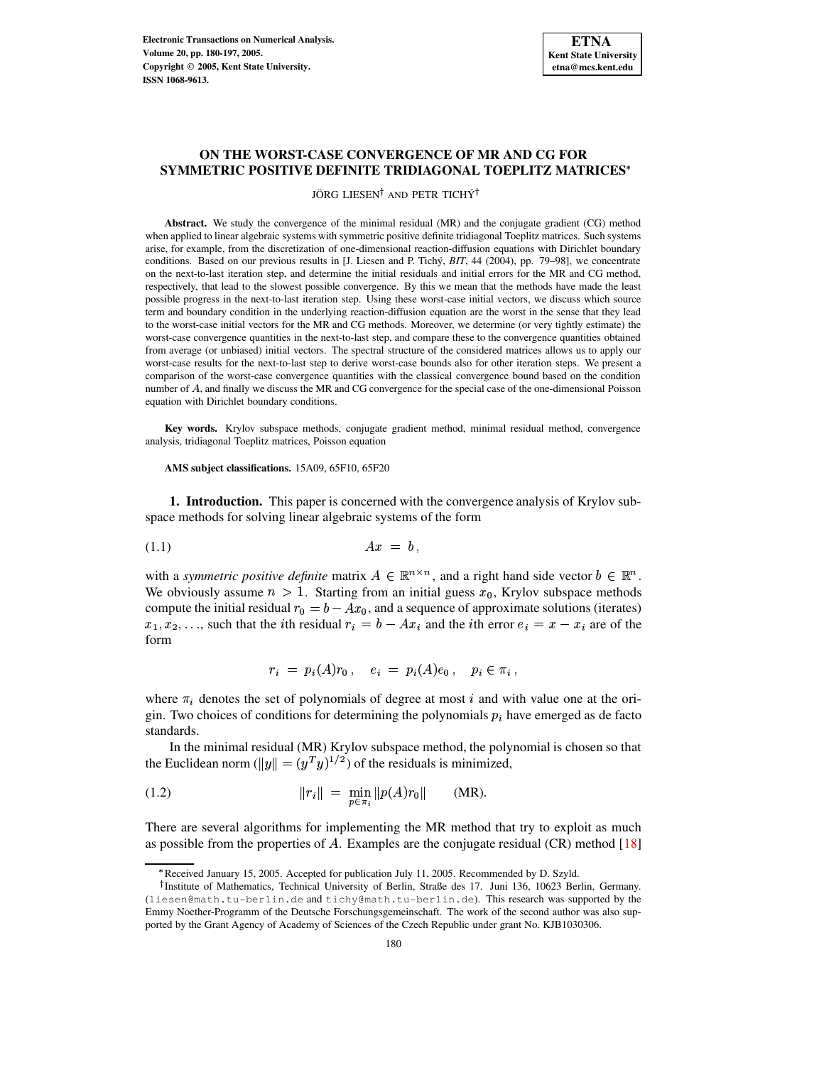# **ON THE WORST-CASE CONVERGENCE OF MR AND CG FOR SYMMETRIC POSITIVE DEFINITE TRIDIAGONAL TOEPLITZ MATRICES**

JÖRG LIESEN<sup>†</sup> AND PETR TICHÝ<sup>†</sup>

**Abstract.** We study the convergence of the minimal residual (MR) and the conjugate gradient (CG) method when applied to linear algebraic systems with symmetric positive definite tridiagonal Toeplitz matrices. Such systems arise, for example, from the discretization of one-dimensional reaction-diffusion equations with Dirichlet boundary conditions. Based on our previous results in [J. Liesen and P. Tichý, *BIT*, 44 (2004), pp. 79–98], we concentrate on the next-to-last iteration step, and determine the initial residuals and initial errors for the MR and CG method, respectively, that lead to the slowest possible convergence. By this we mean that the methods have made the least possible progress in the next-to-last iteration step. Using these worst-case initial vectors, we discuss which source term and boundary condition in the underlying reaction-diffusion equation are the worst in the sense that they lead to the worst-case initial vectors for the MR and CG methods. Moreover, we determine (or very tightly estimate) the worst-case convergence quantities in the next-to-last step, and compare these to the convergence quantities obtained from average (or unbiased) initial vectors. The spectral structure of the considered matrices allows us to apply our worst-case results for the next-to-last step to derive worst-case bounds also for other iteration steps. We present a comparison of the worst-case convergence quantities with the classical convergence bound based on the condition number of A, and finally we discuss the MR and CG convergence for the special case of the one-dimensional Poisson equation with Dirichlet boundary conditions.

**Key words.** Krylov subspace methods, conjugate gradient method, minimal residual method, convergence analysis, tridiagonal Toeplitz matrices, Poisson equation

**AMS subject classifications.** 15A09, 65F10, 65F20

**1. Introduction.** This paper is concerned with the convergence analysis of Krylov subspace methods for solving linear algebraic systems of the form

$$
(1.1) \t\t\t Ax = b,
$$

with a *symmetric positive definite* matrix  $A \in \mathbb{R}^{n \times n}$ , and a right hand side vector  $b \in \mathbb{R}^n$ . We obviously assume  $n > 1$ . Starting from an initial guess  $x_0$ , Krylov subspace methods compute the initial residual  $r_0 = b - Ax_0$ , and a sequence of approximate solutions (iterates)  $x_1, x_2, \ldots$ , such that the *i*th residual  $r_i = b - Ax_i$  and the *i*th error  $e_i = x - x_i$  are of the form

$$
r_i \,\,=\,\, p_i(A) r_0 \; , \quad e_i \,\,=\,\, p_i(A) e_0 \; , \quad p_i \in \pi_i \; ,
$$

where  $\pi_i$  denotes the set of polynomials of degree at most i and with value one at the origin. Two choices of conditions for determining the polynomials  $p_i$  have emerged as de facto standards.

In the minimal residual (MR) Krylov subspace method, the polynomial is chosen so that the Euclidean norm  $(\|y\| = (y^T y)^{1/2})$  of the residuals is minimized,

<span id="page-0-0"></span>(1.2) 
$$
||r_i|| = \min_{n \in \pi_i} ||p(A)r_0|| \quad (MR).
$$

There are several algorithms for implementing the MR method that try to exploit as much as possible from the properties of A. Examples are the conjugate residual (CR) method [\[18\]](#page-17-0)

<sup>\*</sup> Received January 15, 2005. Accepted for publication July 11, 2005. Recommended by D. Szyld.

<sup>&</sup>lt;sup>†</sup> Institute of Mathematics, Technical University of Berlin, Straße des 17. Juni 136, 10623 Berlin, Germany. (liesen@math.tu-berlin.de and tichy@math.tu-berlin.de). This research was supported by the Emmy Noether-Programm of the Deutsche Forschungsgemeinschaft. The work of the second author was also supported by the Grant Agency of Academy of Sciences of the Czech Republic under grant No. KJB1030306.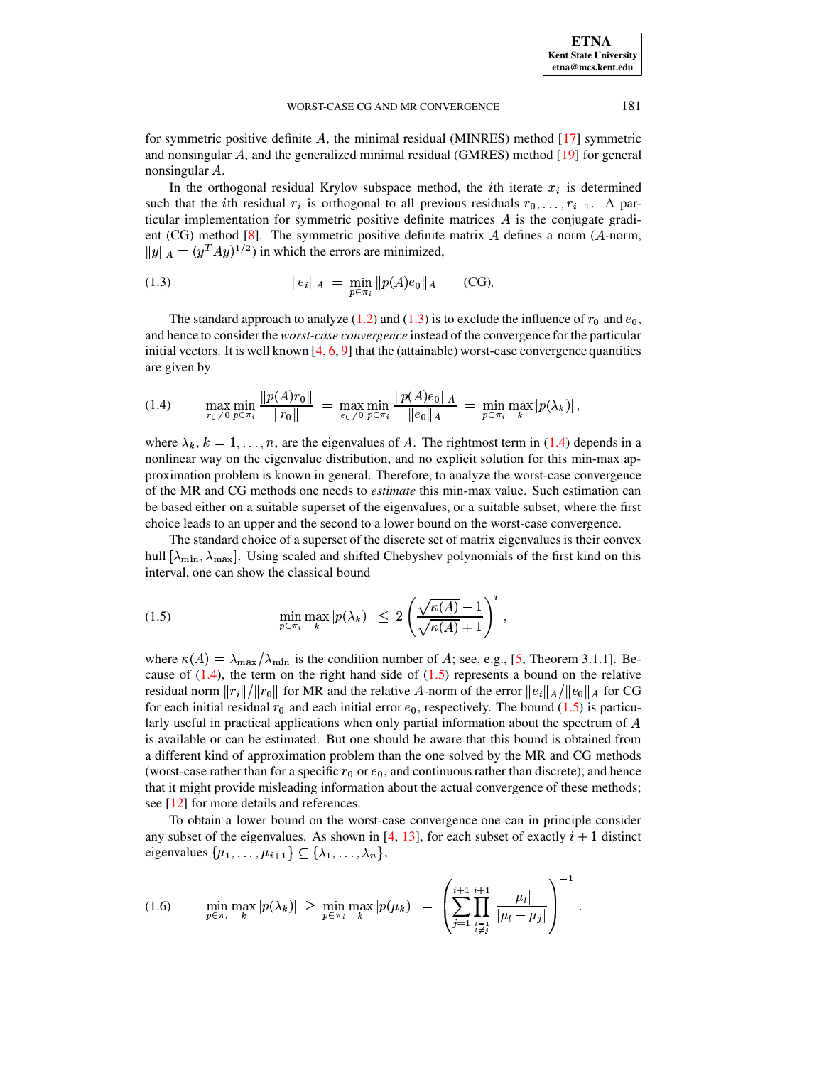for symmetric positive definite  $A$ , the minimal residual (MINRES) method  $[17]$  symmetric and nonsingular  $A$ , and the generalized minimal residual (GMRES) method  $[19]$  for general nonsingular A.

In the orthogonal residual Krylov subspace method, the *i*th iterate  $x_i$  is determined such that the *i*th residual  $r_i$  is orthogonal to all previous residuals  $r_0, \ldots, r_{i-1}$ . A particular implementation for symmetric positive definite matrices  $\vec{A}$  is the conjugate gradi-ent (CG) method [\[8\]](#page-17-3). The symmetric positive definite matrix A defines a norm (A-norm,  $||y||_A = (y^T A y)^{1/2}$  in which the errors are minimized,

<span id="page-1-0"></span>(1.3) 
$$
||e_i||_A = \min_{p \in \pi_i} ||p(A)e_0||_A \quad \text{(CG)}.
$$

The standard approach to analyze [\(1.2\)](#page-0-0) and [\(1.3\)](#page-1-0) is to exclude the influence of  $r_0$  and  $e_0$ , ,and hence to consider the *worst-case convergence* instead of the convergence for the particular initial vectors. It is well known  $[4, 6, 9]$  $[4, 6, 9]$  $[4, 6, 9]$  $[4, 6, 9]$  $[4, 6, 9]$  that the (attainable) worst-case convergence quantities are given by

<span id="page-1-1"></span>
$$
(1.4) \qquad \max_{r_0\neq 0} \min_{p\in \pi_i} \frac{\|p(A)r_0\|}{\|r_0\|} \;=\; \max_{e_0\neq 0} \min_{p\in \pi_i} \frac{\|p(A)e_0\|_A}{\|e_0\|_A} \;=\; \min_{p\in \pi_i} \max_{k} |p(\lambda_k)|\,,
$$

where  $\lambda_k$ ,  $k = 1, \ldots, n$ , are the eigenvalues of A. The rightmost term in [\(1.4\)](#page-1-1) depends in a nonlinear way on the eigenvalue distribution, and no explicit solution for this min-max approximation problem is known in general. Therefore, to analyze the worst-case convergence of the MR and CG methods one needs to *estimate* this min-max value. Such estimation can be based either on a suitable superset of the eigenvalues, or a suitable subset, where the first choice leads to an upper and the second to a lower bound on the worst-case convergence.

The standard choice of a superset of the discrete set of matrix eigenvalues is their convex hull  $[\lambda_{\min}, \lambda_{\max}]$ . Using scaled and shifted Chebyshev polynomials of the first kind on this interval, one can show the classical bound

<span id="page-1-2"></span>(1.5) 
$$
\min_{p \in \pi_i} \max_k |p(\lambda_k)| \leq 2 \left( \frac{\sqrt{\kappa(A)} - 1}{\sqrt{\kappa(A)} + 1} \right)^i,
$$

where  $\kappa(A) = \lambda_{\text{max}}/\lambda_{\text{min}}$  is the condition number of A; see, e.g., [\[5,](#page-17-7) Theorem 3.1.1]. Because of  $(1.4)$ , the term on the right hand side of  $(1.5)$  represents a bound on the relative residual norm  $||r_i||/||r_0||$  for MR and the relative A-norm of the error  $||e_i||_A/||e_0||_A$  for CG for each initial residual  $r_0$  and each initial error  $e_0$ , respectively. The bound [\(1.5\)](#page-1-2) is particularly useful in practical applications when only partial information about the spectrum of  $A$ is available or can be estimated. But one should be aware that this bound is obtained from a different kind of approximation problem than the one solved by the MR and CG methods (worst-case rather than for a specific  $r_0$  or  $e_0$ , and continuous rather than discrete), and hence that it might provide misleading information about the actual convergence of these methods; see [\[12\]](#page-17-8) for more details and references.

To obtain a lower bound on the worst-case convergence one can in principle consider any subset of the eigenvalues. As shown in [\[4,](#page-17-4) [13\]](#page-17-9), for each subset of exactly  $i + 1$  distinct eigenvalues  $\{\mu_1, \ldots, \mu_{i+1}\} \subseteq \{\lambda_1, \ldots, \lambda_n\},\$ 

<span id="page-1-3"></span>
$$
(1.6) \qquad \min_{p \in \pi_i} \max_k |p(\lambda_k)| \geq \min_{p \in \pi_i} \max_k |p(\mu_k)| = \left( \sum_{j=1}^{i+1} \prod_{\substack{l=1 \\ l \neq j}}^{i+1} \frac{|\mu_l|}{|\mu_l - \mu_j|} \right)^{-1}.
$$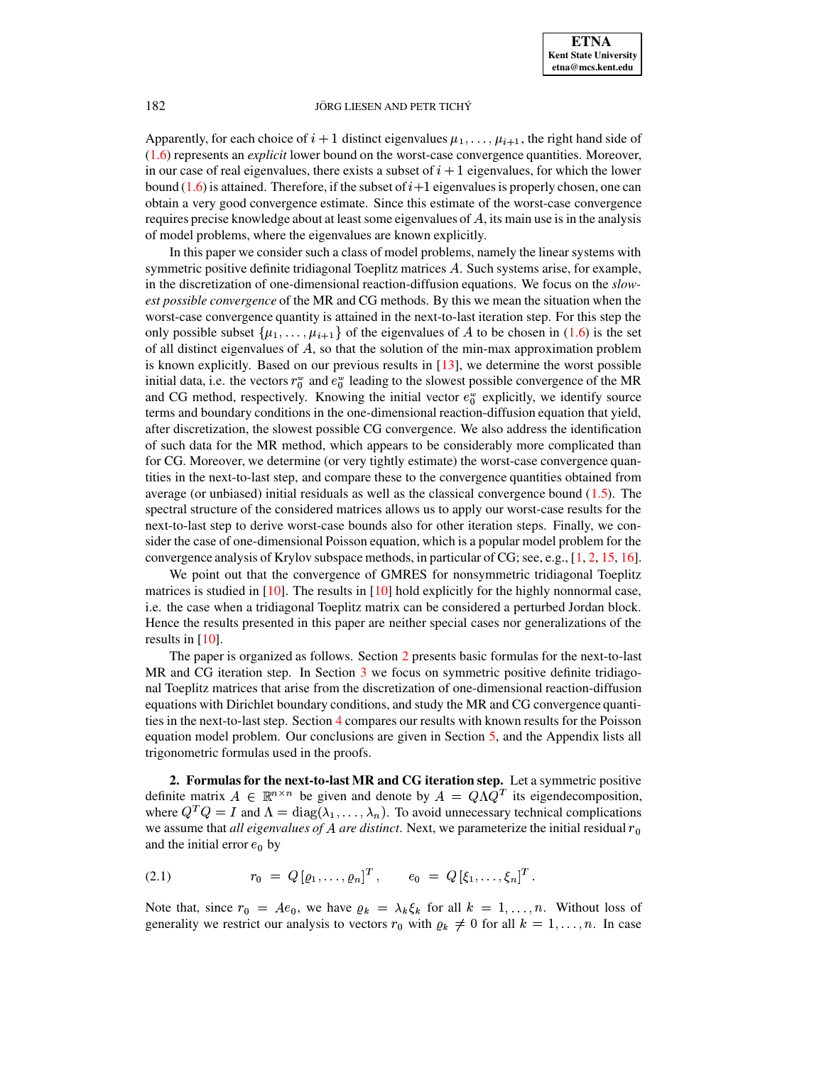Apparently, for each choice of  $i + 1$  distinct eigenvalues  $\mu_1, \ldots, \mu_{i+1}$ , the right hand side of [\(1.6\)](#page-1-3) represents an *explicit* lower bound on the worst-case convergence quantities. Moreover, in our case of real eigenvalues, there exists a subset of  $i + 1$  eigenvalues, for which the lower bound [\(1.6\)](#page-1-3) is attained. Therefore, if the subset of  $i+1$  eigenvalues is properly chosen, one can obtain a very good convergence estimate. Since this estimate of the worst-case convergence requires precise knowledge about at least some eigenvalues of  $A$ , its main use is in the analysis of model problems, where the eigenvalues are known explicitly.

In this paper we consider such a class of model problems, namely the linear systems with symmetric positive definite tridiagonal Toeplitz matrices A. Such systems arise, for example, in the discretization of one-dimensional reaction-diffusion equations. We focus on the *slowest possible convergence* of the MR and CG methods. By this we mean the situation when the worst-case convergence quantity is attained in the next-to-last iteration step. For this step the only possible subset  $\{\mu_1, \dots, \mu_{i+1}\}$  of the eigenvalues of A to be chosen in [\(1.6\)](#page-1-3) is the set of all distinct eigenvalues of  $A$ , so that the solution of the min-max approximation problem is known explicitly. Based on our previous results in [\[13\]](#page-17-9), we determine the worst possible initial data, i.e. the vectors  $r_0^{\omega}$  and  $e_0^{\omega}$  leading to the slowest possible convergence of the MR and CG method, respectively. Knowing the initial vector  $e_0^*$  explicitly, we identify source terms and boundary conditions in the one-dimensional reaction-diffusion equation that yield, after discretization, the slowest possible CG convergence. We also address the identification of such data for the MR method, which appears to be considerably more complicated than for CG. Moreover, we determine (or very tightly estimate) the worst-case convergence quantities in the next-to-last step, and compare these to the convergence quantities obtained from average (or unbiased) initial residuals as well as the classical convergence bound  $(1.5)$ . The spectral structure of the considered matrices allows us to apply our worst-case results for the next-to-last step to derive worst-case bounds also for other iteration steps. Finally, we consider the case of one-dimensional Poisson equation, which is a popular model problem for the convergence analysis of Krylov subspace methods, in particular of CG; see, e.g., [\[1,](#page-16-0) [2,](#page-17-10) [15,](#page-17-11) [16\]](#page-17-12).

We point out that the convergence of GMRES for nonsymmetric tridiagonal Toeplitz matrices is studied in [\[10\]](#page-17-13). The results in [10] hold explicitly for the highly nonnormal case, i.e. the case when a tridiagonal Toeplitz matrix can be considered a perturbed Jordan block. Hence the results presented in this paper are neither special cases nor generalizations of the results in [\[10\]](#page-17-13).

The paper is organized as follows. Section [2](#page-2-0) presents basic formulas for the next-to-last MR and CG iteration step. In Section [3](#page-4-0) we focus on symmetric positive definite tridiagonal Toeplitz matrices that arise from the discretization of one-dimensional reaction-diffusion equations with Dirichlet boundary conditions, and study the MR and CG convergence quantities in the next-to-last step. Section [4](#page-13-0) compares our results with known results for the Poisson equation model problem. Our conclusions are given in Section [5,](#page-15-0) and the Appendix lists all trigonometric formulas used in the proofs.

<span id="page-2-0"></span>**2. Formulas for the next-to-last MR and CG iteration step.** Let a symmetric positive definite matrix  $A \in \mathbb{R}^{n \times n}$  be given and denote by  $A = Q \Lambda Q^T$  its eigendecomposition, where  $Q^T Q = I$  and  $\Lambda = \text{diag}(\lambda_1, \dots, \lambda_n)$ . To avoid unnecessary technical complications we assume that *all eigenvalues of A are distinct*. Next, we parameterize the initial residual  $r_0$ and the initial error  $e_0$  by

 $r_0 = Q[\rho_1, \ldots, \rho_n]^T$ ,  $e_0 = Q[\xi_1, \ldots, \xi_n]^T$ . (2.1)

Note that, since  $r_0 = Ae_0$ , we have  $\varrho_k = \lambda_k \xi_k$  for all  $k = 1, \ldots, n$ . Without loss of generality we restrict our analysis to vectors  $r_0$  with  $\varrho_k \neq 0$  for all  $k = 1, \ldots, n$ . In case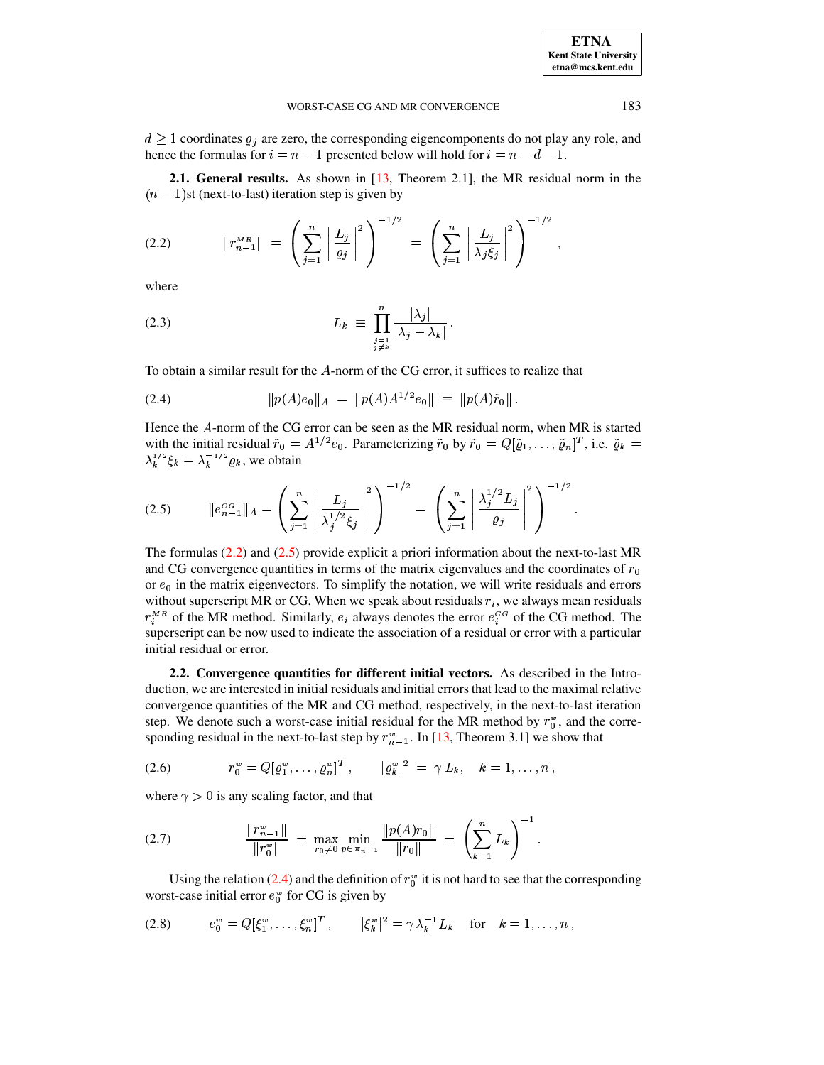$d \geq 1$  coordinates  $\varrho_i$  are zero, the corresponding eigencomponents do not play any role, and hence the formulas for  $i = n - 1$  presented below will hold for  $i = n - d - 1$ .

**2.1. General results.** As shown in [\[13,](#page-17-9) Theorem 2.1], the MR residual norm in the  $(n - 1)$ st (next-to-last) iteration step is given by

<span id="page-3-0"></span>(2.2) 
$$
||r_{n-1}^{MR}|| = \left(\sum_{j=1}^n \left|\frac{L_j}{\varrho_j}\right|^2\right)^{-1/2} = \left(\sum_{j=1}^n \left|\frac{L_j}{\lambda_j \xi_j}\right|^2\right)^{-1/2},
$$

where

<span id="page-3-5"></span>
$$
(2.3) \t\t\t L_k \equiv \prod_{\substack{j=1 \ j \neq k}}^n \frac{|\lambda_j|}{|\lambda_j - \lambda_k|}.
$$

To obtain a similar result for the A-norm of the CG error, it suffices to realize that

<span id="page-3-2"></span>(2.4) 
$$
\|p(A)e_0\|_A = \|p(A)A^{1/2}e_0\| \equiv \|p(A)\tilde{r}_0\|.
$$

Hence the  $A$ -norm of the CG error can be seen as the MR residual norm, when MR is started with the initial residual  $\tilde{r}_0 = A^{1/2}e_0$ . Parameterizing  $\tilde{r}_0$  by  $\tilde{r}_0 = Q[\tilde{\varrho}_1, \dots, \tilde{\varrho}_n]^T$ , i.e.  $\tilde{\varrho}_k =$  $\lambda_k^{1/2} \xi_k = \lambda_k^{-1/2} \varrho_k$ , we obtain

<span id="page-3-1"></span>
$$
(2.5) \t\t\t\t\t\|\te_{n-1}^{CG}\|_A = \left(\sum_{j=1}^n \left|\frac{L_j}{\lambda_j^{1/2}\xi_j}\right|^2\right)^{-1/2} = \left(\sum_{j=1}^n \left|\frac{\lambda_j^{1/2}L_j}{\varrho_j}\right|^2\right)^{-1/2}.
$$

The formulas  $(2.2)$  and  $(2.5)$  provide explicit a priori information about the next-to-last MR and CG convergence quantities in terms of the matrix eigenvalues and the coordinates of  $r_0$ or  $e_0$  in the matrix eigenvectors. To simplify the notation, we will write residuals and errors without superscript MR or CG. When we speak about residuals  $r_i$ , we always mean residuals  $r_i^{MR}$  of the MR method. Similarly,  $e_i$  always denotes the error  $e_i^{CG}$  of the CG method. The superscript can be now used to indicate the association of a residual or error with a particular initial residual or error.

**2.2. Convergence quantities for different initial vectors.** As described in the Introduction, we are interested in initial residuals and initial errors that lead to the maximal relative convergence quantities of the MR and CG method, respectively, in the next-to-last iteration step. We denote such a worst-case initial residual for the MR method by  $r_0^*$ , and the corresponding residual in the next-to-last step by  $r_{n-1}^{\omega}$ . In [\[13,](#page-17-9) Theorem 3.1] we show that

<span id="page-3-3"></span>(2.6) 
$$
r_0^w = Q[\varrho_1^w, \ldots, \varrho_n^w]^T, \qquad |\varrho_k^w|^2 = \gamma L_k, \quad k = 1, \ldots, n,
$$

where  $\gamma > 0$  is any scaling factor, and that

<span id="page-3-6"></span>
$$
(2.7) \qquad \qquad \frac{\|r_{n-1}^w\|}{\|r_0^w\|} \;=\; \max_{r_0 \neq 0} \min_{p \in \pi_{n-1}} \frac{\|p(A)r_0\|}{\|r_0\|} \;=\; \left(\sum_{k=1}^n L_k\right)^{-1}.
$$

Using the relation [\(2.4\)](#page-3-2) and the definition of  $r_0^{\omega}$  it is not hard to see that the corresponding worst-case initial error  $e_0^w$  for CG is given by

<span id="page-3-4"></span>(2.8) 
$$
e_0^v = Q[\xi_1^v, \dots, \xi_n^v]^T, \qquad |\xi_k^v|^2 = \gamma \lambda_k^{-1} L_k \quad \text{for} \quad k = 1, \dots, n,
$$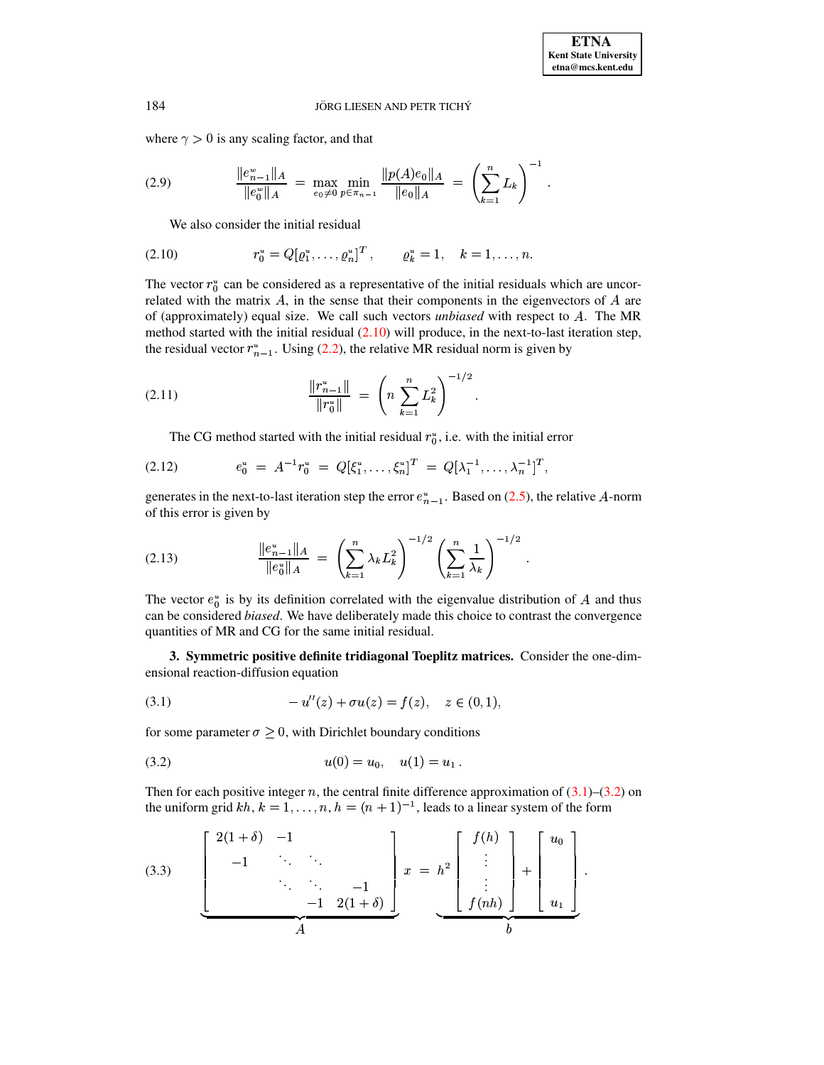where  $\gamma > 0$  is any scaling factor, and that

<span id="page-4-7"></span>
$$
(2.9) \qquad \frac{\|e_{n-1}^w\|_A}{\|e_0^w\|_A} \;=\; \max_{e_0 \neq 0} \min_{p \in \pi_{n-1}} \frac{\|p(A)e_0\|_A}{\|e_0\|_A} \;=\; \left(\sum_{k=1}^n L_k\right)^{-1}.
$$

We also consider the initial residual

<span id="page-4-1"></span>(2.10) 
$$
r_0^u = Q[\varrho_1^u, \dots, \varrho_n^u]^T, \qquad \varrho_k^u = 1, \quad k = 1, \dots, n.
$$

The vector  $r_0^a$  can be considered as a representative of the initial residuals which are uncorrelated with the matrix  $A$ , in the sense that their components in the eigenvectors of  $A$  are of (approximately) equal size. We call such vectors *unbiased* with respect to . The MR method started with the initial residual  $(2.10)$  will produce, in the next-to-last iteration step, the residual vector  $r_{n-1}^*$ . Using [\(2.2\)](#page-3-0), the relative MR residual norm is given by

$$
(2.11) \t\t\t \t\t\t \frac{\|r_{n-1}^u\|}{\|r_0^u\|} = \left(n \sum_{k=1}^n L_k^2\right)^{-1/2}.
$$

<span id="page-4-5"></span>The CG method started with the initial residual  $r_0^u$ , i.e. with the initial error

<span id="page-4-8"></span>
$$
(2.12) \t e_0^u = A^{-1} r_0^u = Q[\xi_1^u, \dots, \xi_n^u]^T = Q[\lambda_1^{-1}, \dots, \lambda_n^{-1}]^T,
$$

generates in the next-to-last iteration step the error  $e_{n-1}^*$ . Based on [\(2.5\)](#page-3-1), the relative A-norm of this error is given by

<span id="page-4-6"></span>
$$
(2.13) \qquad \frac{\|e_{n-1}^*\|_A}{\|e_0^*\|_A} \ = \ \left(\sum_{k=1}^n \lambda_k L_k^2\right)^{-1/2} \left(\sum_{k=1}^n \frac{1}{\lambda_k}\right)^{-1/2} \ .
$$

The vector  $e_0^*$  is by its definition correlated with the eigenvalue distribution of A and thus can be considered *biased*. We have deliberately made this choice to contrast the convergence quantities of MR and CG for the same initial residual.

<span id="page-4-0"></span>**3. Symmetric positive definite tridiagonal Toeplitz matrices.** Consider the one-dimensional reaction-diffusion equation

<span id="page-4-2"></span>(3.1) 
$$
-u''(z) + \sigma u(z) = f(z), \quad z \in (0,1),
$$

for some parameter  $\sigma \geq 0$ , with Dirichlet boundary conditions

<span id="page-4-3"></span>
$$
(3.2) \t\t\t u(0) = u_0, \t u(1) = u_1.
$$

Then for each positive integer n, the central finite difference approximation of  $(3.1)$ – $(3.2)$  on the uniform grid  $kh, k = 1, \ldots, n, h = (n + 1)^{-1}$ , leads to a linear system of the form

<span id="page-4-4"></span>
$$
(3.3) \qquad \begin{bmatrix} 2(1+\delta) & -1 \\ -1 & \ddots & \ddots \\ & \ddots & \ddots & -1 \\ & & -1 & 2(1+\delta) \end{bmatrix} x = h^{2} \begin{bmatrix} f(h) \\ \vdots \\ \vdots \\ f(nh) \end{bmatrix} + \begin{bmatrix} u_{0} \\ u_{1} \end{bmatrix}.
$$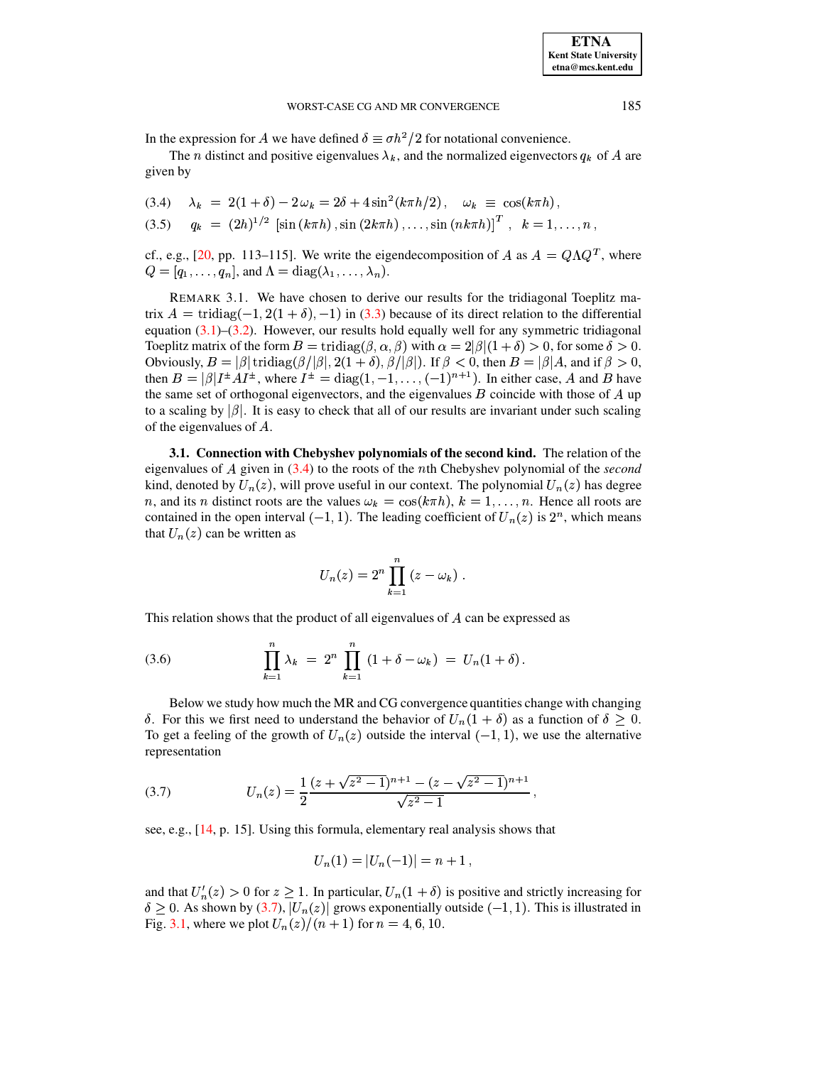In the expression for A we have defined  $\delta \equiv \sigma h^2/2$  for notational convenience.

The *n* distinct and positive eigenvalues  $\lambda_k$ , and the normalized eigenvectors  $q_k$  of A are given by

<span id="page-5-0"></span>(3.4)  $\lambda_k = 2(1+\delta) - 2\omega_k = 2\delta + 4\sin^2(k\pi h/2), \omega_k \equiv \cos(k\pi h),$ 

(3.5)  $q_k = (2h)^{1/2} [\sin(k\pi h), \sin(2k\pi h), \dots, \sin(nk\pi h)]^T$ ,  $k = 1, \dots, n$ ,

cf., e.g., [20, pp. 113–115]. We write the eigendecomposition of A as  $A = Q\Lambda Q^T$ , where  $Q = [q_1, \ldots, q_n]$ , and  $\Lambda = \text{diag}(\lambda_1, \ldots, \lambda_n)$ .

REMARK 3.1. We have chosen to derive our results for the tridiagonal Toeplitz matrix  $A = \text{tridiag}(-1, 2(1+\delta), -1)$  in (3.3) because of its direct relation to the differential equation  $(3.1)$ – $(3.2)$ . However, our results hold equally well for any symmetric tridiagonal Toeplitz matrix of the form  $B = \text{tridiag}(\beta, \alpha, \beta)$  with  $\alpha = 2|\beta|(1+\delta) > 0$ , for some  $\delta > 0$ . Obviously,  $B = |\beta| \text{tridiag}(\beta/|\beta|, 2(1+\delta), \beta/|\beta|)$ . If  $\beta < 0$ , then  $B = |\beta|A$ , and if  $\beta > 0$ , then  $B = |\beta|I^{\pm}AI^{\pm}$ , where  $I^{\pm} = \text{diag}(1, -1, \ldots, (-1)^{n+1})$ . In either case, A and B have the same set of orthogonal eigenvectors, and the eigenvalues  $B$  coincide with those of  $A$  up to a scaling by  $|\beta|$ . It is easy to check that all of our results are invariant under such scaling of the eigenvalues of  $A$ .

**3.1. Connection with Chebyshev polynomials of the second kind.** The relation of the eigenvalues of  $\hat{A}$  given in (3.4) to the roots of the *n*th Chebyshev polynomial of the *second* kind, denoted by  $U_n(z)$ , will prove useful in our context. The polynomial  $U_n(z)$  has degree *n*, and its *n* distinct roots are the values  $\omega_k = \cos(k\pi h)$ ,  $k = 1, ..., n$ . Hence all roots are contained in the open interval  $(-1, 1)$ . The leading coefficient of  $U_n(z)$  is  $2^n$ , which means that  $U_n(z)$  can be written as

$$
U_n(z) = 2^n \prod_{k=1}^n (z - \omega_k)
$$

This relation shows that the product of all eigenvalues of A can be expressed as

<span id="page-5-2"></span>(3.6) 
$$
\prod_{k=1}^{n} \lambda_k = 2^n \prod_{k=1}^{n} (1 + \delta - \omega_k) = U_n(1 + \delta).
$$

Below we study how much the MR and CG convergence quantities change with changing  $\delta$ . For this we first need to understand the behavior of  $U_n(1+\delta)$  as a function of  $\delta > 0$ . To get a feeling of the growth of  $U_n(z)$  outside the interval  $(-1, 1)$ , we use the alternative representation

<span id="page-5-1"></span>(3.7) 
$$
U_n(z) = \frac{1}{2} \frac{(z + \sqrt{z^2 - 1})^{n+1} - (z - \sqrt{z^2 - 1})^{n+1}}{\sqrt{z^2 - 1}}
$$

see, e.g.,  $[14, p. 15]$ . Using this formula, elementary real analysis shows that

$$
U_n(1) = |U_n(-1)| = n + 1,
$$

and that  $U'_n(z) > 0$  for  $z \ge 1$ . In particular,  $U_n(1 + \delta)$  is positive and strictly increasing for  $\delta \geq 0$ . As shown by (3.7),  $|U_n(z)|$  grows exponentially outside  $(-1,1)$ . This is illustrated in Fig. 3.1, where we plot  $U_n(z)/(n + 1)$  for  $n = 4, 6, 10$ .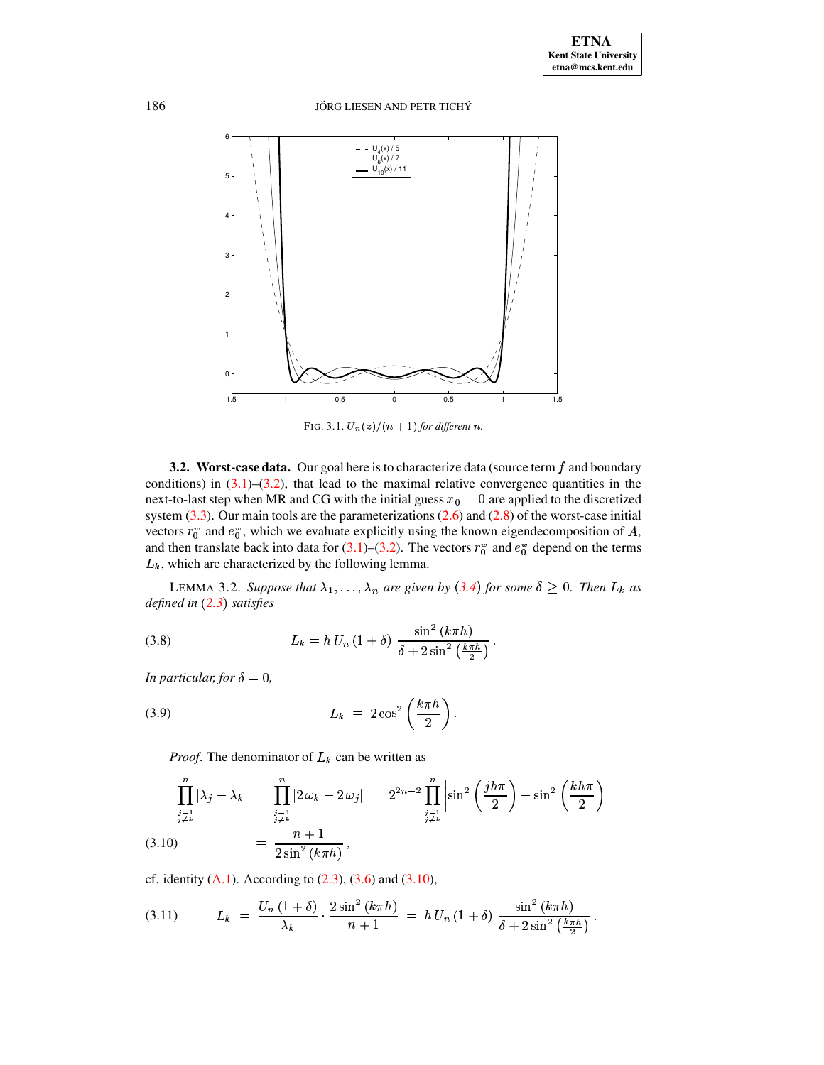

FIG. 3.1.  $U_n(z)/(n+1)$  for different n.

<span id="page-6-4"></span>**3.2. Worst-case data.** Our goal here is to characterize data (source term f and boundary conditions) in  $(3.1)$ – $(3.2)$ , that lead to the maximal relative convergence quantities in the next-to-last step when MR and CG with the initial guess  $x_0 = 0$  are applied to the discretized system  $(3.3)$ . Our main tools are the parameterizations  $(2.6)$  and  $(2.8)$  of the worst-case initial vectors  $r_0^w$  and  $e_0^w$ , which we evaluate explicitly using the known eigendecomposition of A, and then translate back into data for (3.1)–(3.2). The vectors  $r_0^w$  and  $e_0^w$  depend on the terms  $L_k$ , which are characterized by the following lemma.

LEMMA 3.2. Suppose that  $\lambda_1, \ldots, \lambda_n$  are given by (3.4) for some  $\delta \geq 0$ . Then  $L_k$  as defined in  $(2.3)$  satisfies

<span id="page-6-3"></span>(3.8) 
$$
L_k = h U_n (1 + \delta) \frac{\sin^2 (k \pi h)}{\delta + 2 \sin^2 (\frac{k \pi h}{2})}.
$$

In particular, for  $\delta = 0$ ,

$$
(3.9) \t\t\t L_k = 2 \cos^2 \left(\frac{k\pi h}{2}\right).
$$

<span id="page-6-1"></span>*Proof.* The denominator of  $L_k$  can be written as

<span id="page-6-0"></span>
$$
\prod_{\substack{j=1 \ j \neq k}}^n |\lambda_j - \lambda_k| = \prod_{\substack{j=1 \ j \neq k}}^n |2 \omega_k - 2 \omega_j| = 2^{2n-2} \prod_{\substack{j=1 \ j \neq k}}^n \left| \sin^2 \left( \frac{j h \pi}{2} \right) - \sin^2 \left( \frac{k h \pi}{2} \right) \right|
$$
\n(3.10) 
$$
= \frac{n+1}{2 \sin^2 (k \pi h)},
$$

cf. identity  $(A.1)$ . According to  $(2.3)$ ,  $(3.6)$  and  $(3.10)$ ,

<span id="page-6-2"></span>
$$
(3.11) \tL_k = \frac{U_n (1+\delta)}{\lambda_k} \cdot \frac{2 \sin^2 (k \pi h)}{n+1} = h U_n (1+\delta) \frac{\sin^2 (k \pi h)}{\delta + 2 \sin^2 \left(\frac{k \pi h}{2}\right)}.
$$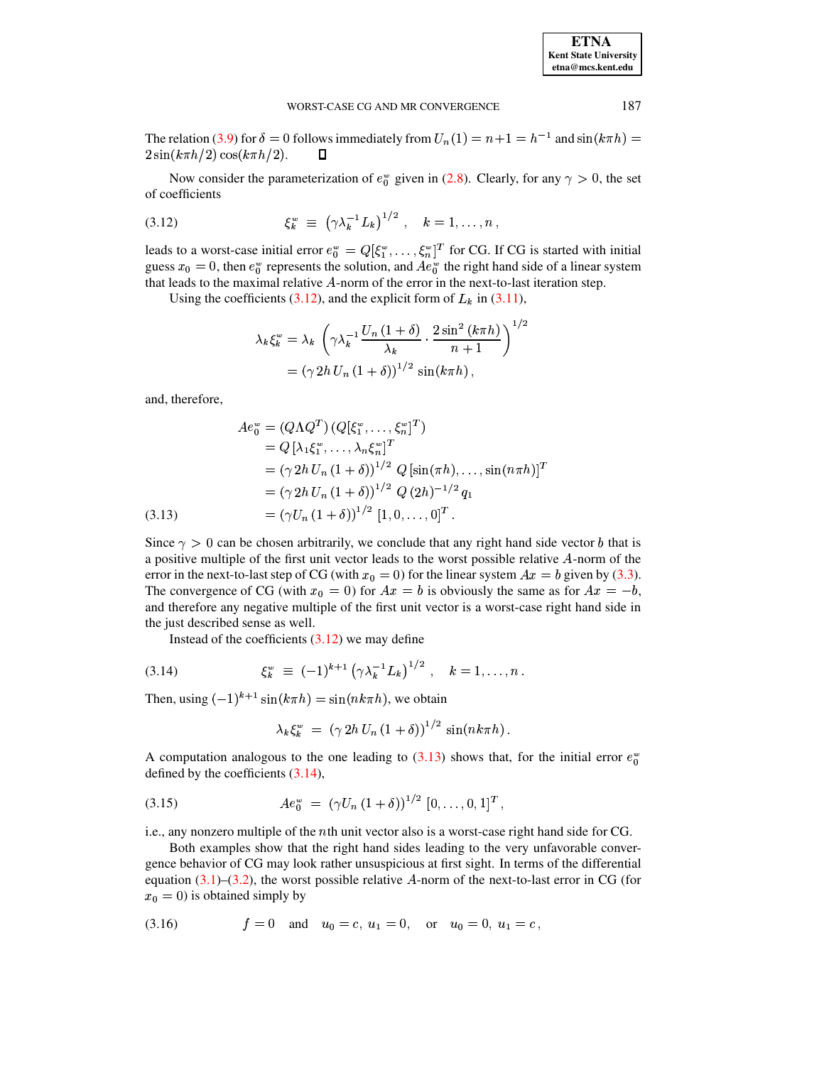The relation (3.9) for  $\delta = 0$  follows immediately from  $U_n(1) = n + 1 = h^{-1}$  and  $\sin(k\pi h) =$  $2\sin(k\pi h/2)\cos(k\pi h/2)$ . 0

Now consider the parameterization of  $e_0^w$  given in (2.8). Clearly, for any  $\gamma > 0$ , the set of coefficients

<span id="page-7-0"></span>(3.12) 
$$
\xi_k^w \equiv (\gamma \lambda_k^{-1} L_k)^{1/2}, \quad k = 1, ..., n
$$

leads to a worst-case initial error  $e_0^w = Q[\xi_1^w, \dots, \xi_n^w]^T$  for CG. If CG is started with initial guess  $x_0 = 0$ , then  $e_0^w$  represents the solution, and  $Ae_0^w$  the right hand side of a linear system that leads to the maximal relative A-norm of the error in the next-to-last iteration step.

Using the coefficients (3.12), and the explicit form of  $L_k$  in (3.11),

$$
\lambda_k \xi_k^{\omega} = \lambda_k \left( \gamma \lambda_k^{-1} \frac{U_n (1 + \delta)}{\lambda_k} \cdot \frac{2 \sin^2 (k \pi h)}{n + 1} \right)^{1/2}
$$

$$
= (\gamma 2h U_n (1 + \delta))^{1/2} \sin(k \pi h),
$$

and, therefore,

<span id="page-7-1"></span>
$$
Ae_0^* = (Q\Lambda Q^T) (Q[\xi_1^*, \dots, \xi_n^*]^T)
$$
  
\n
$$
= Q [\lambda_1 \xi_1^*, \dots, \lambda_n \xi_n^*]^T
$$
  
\n
$$
= (\gamma 2h U_n (1 + \delta))^{1/2} Q [\sin(\pi h), \dots, \sin(n\pi h)]^T
$$
  
\n
$$
= (\gamma 2h U_n (1 + \delta))^{1/2} Q (2h)^{-1/2} q_1
$$
  
\n(3.13)  
\n
$$
= (\gamma U_n (1 + \delta))^{1/2} [1, 0, \dots, 0]^T.
$$

Since  $\gamma > 0$  can be chosen arbitrarily, we conclude that any right hand side vector b that is a positive multiple of the first unit vector leads to the worst possible relative A-norm of the error in the next-to-last step of CG (with  $x_0 = 0$ ) for the linear system  $Ax = b$  given by (3.3). The convergence of CG (with  $x_0 = 0$ ) for  $Ax = b$  is obviously the same as for  $Ax = -b$ , and therefore any negative multiple of the first unit vector is a worst-case right hand side in the just described sense as well.

Instead of the coefficients  $(3.12)$  we may define

<span id="page-7-2"></span>(3.14) 
$$
\xi_k^w \equiv (-1)^{k+1} \left( \gamma \lambda_k^{-1} L_k \right)^{1/2}, \quad k = 1, \ldots, n.
$$

Then, using  $(-1)^{k+1}$  sin $(k\pi h) = \sin(n k\pi h)$ , we obtain

$$
\lambda_k \xi_k^w = (\gamma 2h U_n (1+\delta))^{1/2} \sin(n k \pi h).
$$

A computation analogous to the one leading to (3.13) shows that, for the initial error  $e_0^{\omega}$ defined by the coefficients  $(3.14)$ ,

(3.15) 
$$
Ae_0^w = (\gamma U_n (1+\delta))^{1/2} [0,\ldots,0,1]^T,
$$

i.e., any nonzero multiple of the *n*th unit vector also is a worst-case right hand side for CG.

Both examples show that the right hand sides leading to the very unfavorable convergence behavior of CG may look rather unsuspicious at first sight. In terms of the differential equation  $(3.1)$ – $(3.2)$ , the worst possible relative A-norm of the next-to-last error in CG (for  $x_0 = 0$ ) is obtained simply by

(3.16) 
$$
f = 0
$$
 and  $u_0 = c$ ,  $u_1 = 0$ , or  $u_0 = 0$ ,  $u_1 = c$ ,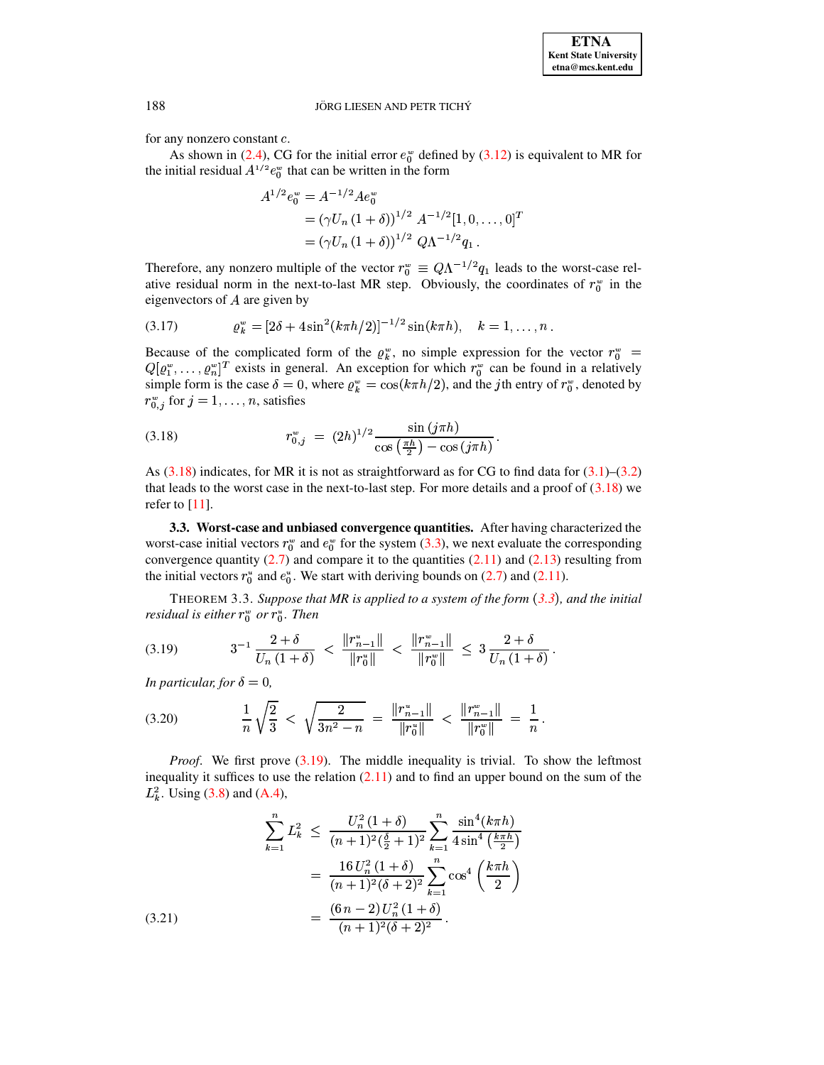for any nonzero constant c.

As shown in (2.4), CG for the initial error  $e_0^*$  defined by (3.12) is equivalent to MR for the initial residual  $A^{1/2}e_0^{\omega}$  that can be written in the form

$$
A^{1/2}e_0^w = A^{-1/2}Ae_0^w
$$
  
=  $(\gamma U_n (1 + \delta))^{1/2} A^{-1/2}[1, 0, ..., 0]^T$   
=  $(\gamma U_n (1 + \delta))^{1/2} Q \Lambda^{-1/2} q_1.$ 

Therefore, any nonzero multiple of the vector  $r_0^{\omega} \equiv Q\Lambda^{-1/2}q_1$  leads to the worst-case relative residual norm in the next-to-last MR step. Obviously, the coordinates of  $r_0^w$  in the eigenvectors of  $A$  are given by

$$
(3.17) \t\t\t\t\t\t\t\varrho_k^w = [2\delta + 4\sin^2(k\pi h/2)]^{-1/2}\sin(k\pi h), \t\t\t\t\t k = 1, \ldots, n
$$

Because of the complicated form of the  $\varrho_k^w$ , no simple expression for the vector  $r_0^w$  =  $Q[\varrho_1^w, \ldots, \varrho_n^w]^T$  exists in general. An exception for which  $r_0^w$  can be found in a relatively simple form is the case  $\delta = 0$ , where  $\rho_k^w = \cos(k\pi h/2)$ , and the jth entry of  $r_0^w$ , denoted by  $r_{0,j}^{\omega}$  for  $j=1,\ldots,n$ , satisfies

<span id="page-8-0"></span>(3.18) 
$$
r_{0,j}^w = (2h)^{1/2} \frac{\sin (j\pi h)}{\cos (\frac{\pi h}{2}) - \cos (j\pi h)}.
$$

As  $(3.18)$  indicates, for MR it is not as straightforward as for CG to find data for  $(3.1)$ – $(3.2)$ that leads to the worst case in the next-to-last step. For more details and a proof of  $(3.18)$  we refer to  $[11]$ .

3.3. Worst-case and unbiased convergence quantities. After having characterized the worst-case initial vectors  $r_0^w$  and  $e_0^w$  for the system (3.3), we next evaluate the corresponding convergence quantity  $(2.7)$  and compare it to the quantities  $(2.11)$  and  $(2.13)$  resulting from the initial vectors  $r_0^u$  and  $e_0^u$ . We start with deriving bounds on (2.7) and (2.11).

<span id="page-8-3"></span>THEOREM 3.3. Suppose that MR is applied to a system of the form  $(3.3)$ , and the initial residual is either  $r_0^w$  or  $r_0^u$ . Then

<span id="page-8-1"></span>
$$
(3.19) \t3^{-1} \frac{2+\delta}{U_n(1+\delta)} < \frac{\|r_{n-1}^*\|}{\|r_0^*\|} < \frac{\|r_{n-1}^*\|}{\|r_0^*\|} \le 3 \frac{2+\delta}{U_n(1+\delta)}.
$$

In particular, for  $\delta = 0$ ,

<span id="page-8-2"></span>
$$
(3.20) \qquad \frac{1}{n}\sqrt{\frac{2}{3}} < \sqrt{\frac{2}{3n^2 - n}} = \frac{\|r_{n-1}^u\|}{\|r_0^u\|} < \frac{\|r_{n-1}^w\|}{\|r_0^w\|} = \frac{1}{n}.
$$

*Proof.* We first prove (3.19). The middle inequality is trivial. To show the leftmost inequality it suffices to use the relation  $(2.11)$  and to find an upper bound on the sum of the  $L^2_k$ . Using (3.8) and (A.4),

$$
\sum_{k=1}^{n} L_k^2 \leq \frac{U_n^2 (1+\delta)}{(n+1)^2 (\frac{\delta}{2} + 1)^2} \sum_{k=1}^{n} \frac{\sin^4(k\pi h)}{4 \sin^4\left(\frac{k\pi h}{2}\right)} \\
= \frac{16 U_n^2 (1+\delta)}{(n+1)^2 (\delta + 2)^2} \sum_{k=1}^{n} \cos^4\left(\frac{k\pi h}{2}\right) \\
= \frac{(6 n - 2) U_n^2 (1+\delta)}{(n+1)^2 (\delta + 2)^2}.
$$
\n(3.21)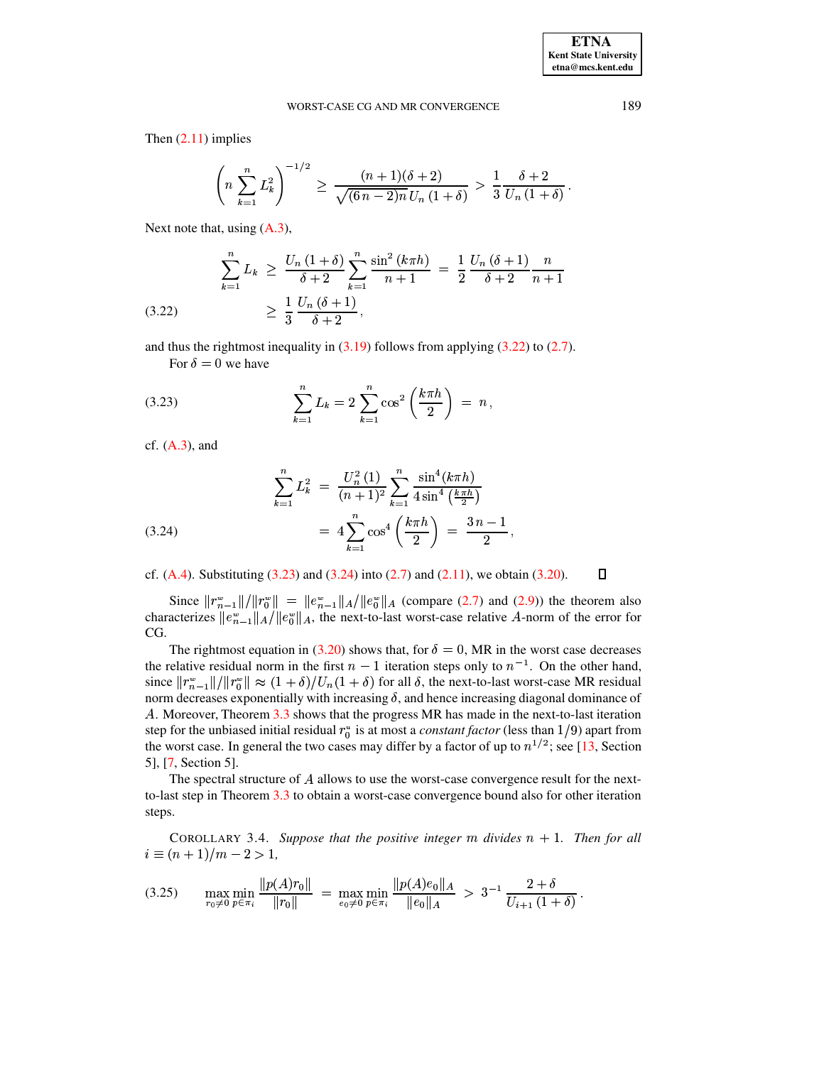Then  $(2.11)$  implies

$$
\left(n\sum_{k=1}^{n}L_k^2\right)^{-1/2}\geq \frac{(n+1)(\delta+2)}{\sqrt{(6n-2)n}U_n(1+\delta)}>\frac{1}{3}\frac{\delta+2}{U_n(1+\delta)}
$$

Next note that, using  $(A.3)$ ,

<span id="page-9-0"></span>
$$
\sum_{k=1}^{n} L_k \ge \frac{U_n (1+\delta)}{\delta+2} \sum_{k=1}^{n} \frac{\sin^2 (k \pi h)}{n+1} = \frac{1}{2} \frac{U_n (\delta+1)}{\delta+2} \frac{n}{n+1}
$$
\n(3.22)\n
$$
\ge \frac{1}{3} \frac{U_n (\delta+1)}{\delta+2},
$$

and thus the rightmost inequality in  $(3.19)$  follows from applying  $(3.22)$  to  $(2.7)$ .

<span id="page-9-1"></span>For  $\delta = 0$  we have

(3.23) 
$$
\sum_{k=1}^{n} L_k = 2 \sum_{k=1}^{n} \cos^2 \left( \frac{k \pi h}{2} \right) = n,
$$

 $cf. (A.3)$ , and

<span id="page-9-2"></span>
$$
\sum_{k=1}^{n} L_k^2 = \frac{U_n^2(1)}{(n+1)^2} \sum_{k=1}^{n} \frac{\sin^4(k\pi h)}{4\sin^4\left(\frac{k\pi h}{2}\right)}
$$
  
(3.24)  

$$
= 4 \sum_{k=1}^{n} \cos^4\left(\frac{k\pi h}{2}\right) = \frac{3n-1}{2}
$$

cf. (A.4). Substituting  $(3.23)$  and  $(3.24)$  into  $(2.7)$  and  $(2.11)$ , we obtain  $(3.20)$ .  $\Box$ 

Since  $||r_{n-1}^w||/||r_0^w|| = ||e_{n-1}^w||/||e_0^w||/||a$  (compare (2.7) and (2.9)) the theorem also characterizes  $||e_{n-1}^w||_A/||e_0^w||_A$ , the next-to-last worst-case relative A-norm of the error for CG.

The rightmost equation in (3.20) shows that, for  $\delta = 0$ , MR in the worst case decreases the relative residual norm in the first  $n-1$  iteration steps only to  $n^{-1}$ . On the other hand, since  $||r_{n-1}^*||/||r_0^*|| \approx (1+\delta)/U_n(1+\delta)$  for all  $\delta$ , the next-to-last worst-case MR residual norm decreases exponentially with increasing  $\delta$ , and hence increasing diagonal dominance of A. Moreover, Theorem 3.3 shows that the progress MR has made in the next-to-last iteration step for the unbiased initial residual  $r_0^u$  is at most a *constant factor* (less than 1/9) apart from the worst case. In general the two cases may differ by a factor of up to  $n^{1/2}$ ; see [13, Section 5], [7, Section 5].

The spectral structure of A allows to use the worst-case convergence result for the nextto-last step in Theorem 3.3 to obtain a worst-case convergence bound also for other iteration steps.

COROLLARY 3.4. Suppose that the positive integer m divides  $n + 1$ . Then for all  $i \equiv (n+1)/m - 2 > 1,$ 

<span id="page-9-3"></span>
$$
(3.25) \qquad \max_{r_0 \neq 0} \min_{p \in \pi_i} \frac{\|p(A)r_0\|}{\|r_0\|} \; = \; \max_{e_0 \neq 0} \min_{p \in \pi_i} \frac{\|p(A)e_0\|_A}{\|e_0\|_A} \; > \; 3^{-1} \frac{2+\delta}{U_{i+1}\,(1+\delta)}
$$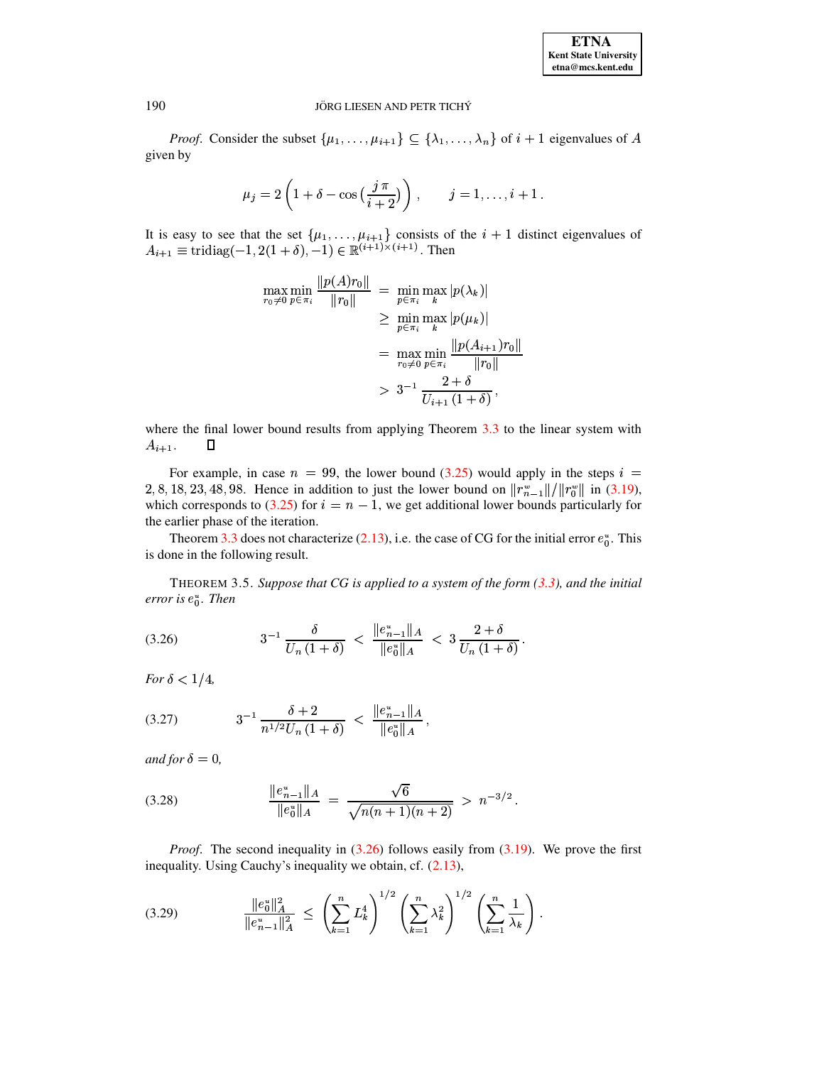*Proof.* Consider the subset  $\{\mu_1, \ldots, \mu_{i+1}\} \subseteq \{\lambda_1, \ldots, \lambda_n\}$  of  $i + 1$  eigenvalues of A given by

$$
\mu_j = 2\left(1 + \delta - \cos\left(\frac{j\pi}{i+2}\right)\right), \quad j = 1, ..., i+1.
$$

It is easy to see that the set  $\{\mu_1, ..., \mu_{i+1}\}$  consists of the  $i + 1$  distinct eigenvalues of  $A_{i+1} \equiv \text{tridiag}(-1, 2(1+\delta), -1) \in \mathbb{R}^{(i+1)\times(i+1)}$ . Then

$$
\max_{r_0 \neq 0} \min_{p \in \pi_i} \frac{\|p(A)r_0\|}{\|r_0\|} = \min_{p \in \pi_i} \max_{k} |p(\lambda_k)|
$$
  
\n
$$
\geq \min_{p \in \pi_i} \max_{k} |p(\mu_k)|
$$
  
\n
$$
= \max_{r_0 \neq 0} \min_{p \in \pi_i} \frac{\|p(A_{i+1})r_0\|}{\|r_0\|}
$$
  
\n
$$
> 3^{-1} \frac{2 + \delta}{U_{i+1} (1 + \delta)},
$$

where the final lower bound results from applying Theorem 3.3 to the linear system with  $\Box$  $A_{i+1}$ .

For example, in case  $n = 99$ , the lower bound (3.25) would apply in the steps  $i =$ 2, 8, 18, 23, 48, 98. Hence in addition to just the lower bound on  $||r_{n-1}^*||/||r_0^*||$  in (3.19), which corresponds to (3.25) for  $i = n - 1$ , we get additional lower bounds particularly for the earlier phase of the iteration.

Theorem 3.3 does not characterize (2.13), i.e. the case of CG for the initial error  $e_0^*$ . This is done in the following result.

<span id="page-10-3"></span>THEOREM 3.5. Suppose that CG is applied to a system of the form  $(3.3)$ , and the initial error is  $e_0^u$ . Then

<span id="page-10-0"></span>
$$
(3.26) \t\t 3^{-1} \frac{\delta}{U_n(1+\delta)} < \frac{\|e_{n-1}^*\|_A}{\|e_0^*\|_A} < 3 \frac{2+\delta}{U_n(1+\delta)}.
$$

For  $\delta < 1/4$ ,

<span id="page-10-2"></span>
$$
(3.27) \t\t 3^{-1} \frac{\delta + 2}{n^{1/2} U_n (1 + \delta)} < \frac{\|e_{n-1}^* \|_A}{\|e_0^*\|_A}
$$

and for  $\delta = 0$ ,

*Proof.* The second inequality in  $(3.26)$  follows easily from  $(3.19)$ . We prove the first inequality. Using Cauchy's inequality we obtain, cf.  $(2.13)$ ,

<span id="page-10-1"></span>
$$
(3.29) \qquad \frac{\|e_0^*\|_A^2}{\|e_{n-1}^*\|_A^2} \ \leq \ \left(\sum_{k=1}^n L_k^4\right)^{1/2} \left(\sum_{k=1}^n \lambda_k^2\right)^{1/2} \left(\sum_{k=1}^n \frac{1}{\lambda_k}\right) \ .
$$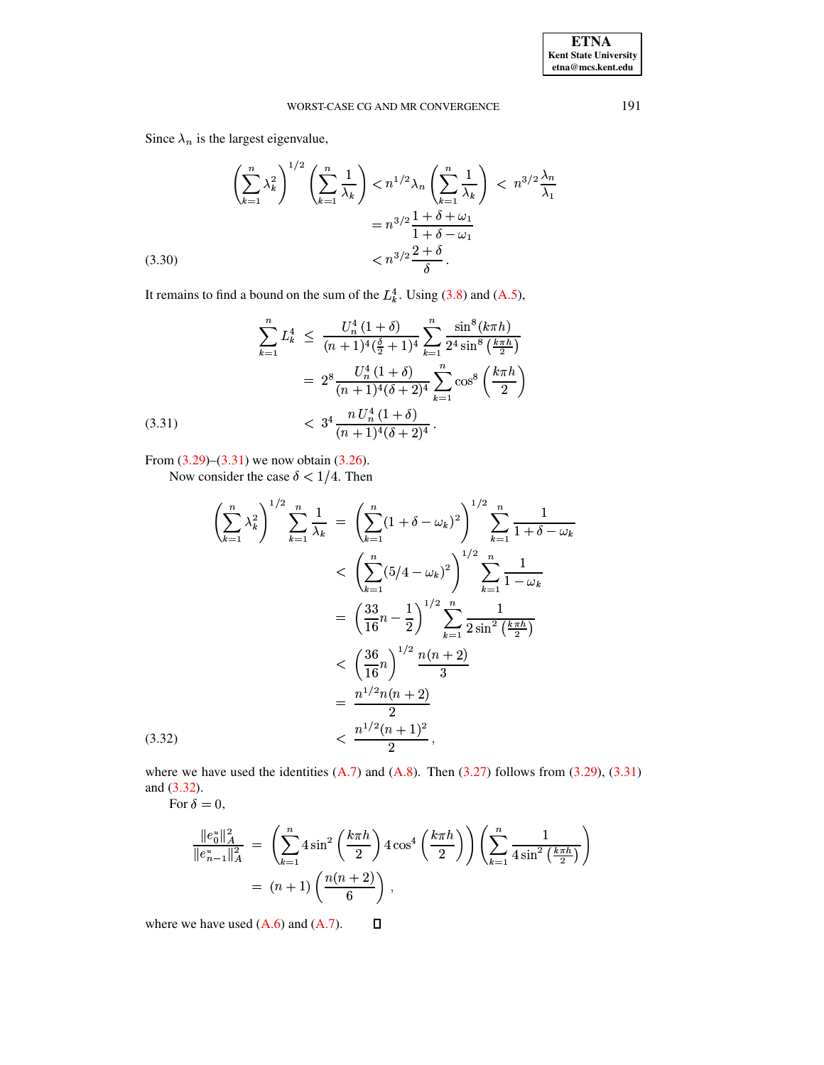Since  $\lambda_n$  is the largest eigenvalue,

$$
\left(\sum_{k=1}^{n} \lambda_k^2\right)^{1/2} \left(\sum_{k=1}^{n} \frac{1}{\lambda_k}\right) < n^{1/2} \lambda_n \left(\sum_{k=1}^{n} \frac{1}{\lambda_k}\right) < n^{3/2} \frac{\lambda_n}{\lambda_1}
$$
\n
$$
= n^{3/2} \frac{1 + \delta + \omega_1}{1 + \delta - \omega_1}
$$
\n
$$
< n^{3/2} \frac{2 + \delta}{\delta}.
$$
\n(3.30)

It remains to find a bound on the sum of the  $L_k^4$ . Using (3.8) and (A.5),

<span id="page-11-0"></span>
$$
\sum_{k=1}^{n} L_k^4 \le \frac{U_n^4 (1+\delta)}{(n+1)^4 (\frac{\delta}{2}+1)^4} \sum_{k=1}^{n} \frac{\sin^8(k\pi h)}{2^4 \sin^8(\frac{k\pi h}{2})}
$$

$$
= 2^8 \frac{U_n^4 (1+\delta)}{(n+1)^4 (\delta+2)^4} \sum_{k=1}^{n} \cos^8\left(\frac{k\pi h}{2}\right)
$$
(3.31)
$$
< 3^4 \frac{n U_n^4 (1+\delta)}{(n+1)^4 (\delta+2)^4}.
$$

From  $(3.29)$ – $(3.31)$  we now obtain  $(3.26)$ .

Now consider the case  $\delta < 1/4$ . Then

<span id="page-11-1"></span>
$$
\left(\sum_{k=1}^{n} \lambda_k^2\right)^{1/2} \sum_{k=1}^{n} \frac{1}{\lambda_k} = \left(\sum_{k=1}^{n} (1 + \delta - \omega_k)^2\right)^{1/2} \sum_{k=1}^{n} \frac{1}{1 + \delta - \omega_k}
$$
  

$$
< \left(\sum_{k=1}^{n} (5/4 - \omega_k)^2\right)^{1/2} \sum_{k=1}^{n} \frac{1}{1 - \omega_k}
$$
  

$$
= \left(\frac{33}{16}n - \frac{1}{2}\right)^{1/2} \sum_{k=1}^{n} \frac{1}{2 \sin^2\left(\frac{k\pi h}{2}\right)}
$$
  

$$
< \left(\frac{36}{16}n\right)^{1/2} \frac{n(n+2)}{3}
$$
  

$$
= \frac{n^{1/2}n(n+2)}{2}
$$
  
(3.32)  

$$
< \frac{n^{1/2}(n+1)^2}{2},
$$

where we have used the identities  $(A.7)$  and  $(A.8)$ . Then  $(3.27)$  follows from  $(3.29)$ ,  $(3.31)$ and  $(3.32)$ .

For  $\delta = 0$ ,

$$
\frac{\|e_0^u\|_A^2}{\|e_{n-1}^u\|_A^2} = \left(\sum_{k=1}^n 4 \sin^2\left(\frac{k\pi h}{2}\right) 4 \cos^4\left(\frac{k\pi h}{2}\right)\right) \left(\sum_{k=1}^n \frac{1}{4 \sin^2\left(\frac{k\pi h}{2}\right)}\right)
$$

$$
= (n+1)\left(\frac{n(n+2)}{6}\right),
$$

where we have used  $(A.6)$  and  $(A.7)$ .  $\Box$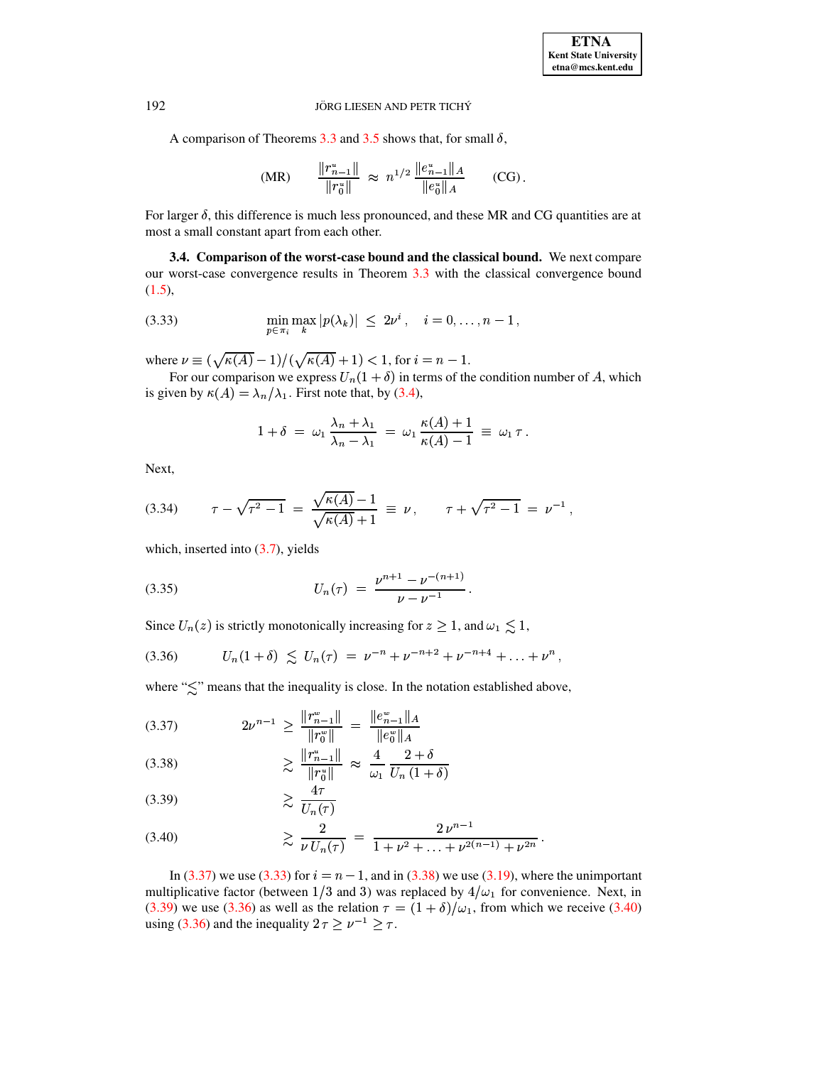A comparison of Theorems 3.3 and 3.5 shows that, for small  $\delta$ ,

(MR) 
$$
\frac{\|r_{n-1}^*\|}{\|r_0^*\|} \approx n^{1/2} \frac{\|e_{n-1}^*\|_A}{\|e_0^*\|_A}
$$
 (CG)

For larger  $\delta$ , this difference is much less pronounced, and these MR and CG quantities are at most a small constant apart from each other.

3.4. Comparison of the worst-case bound and the classical bound. We next compare our worst-case convergence results in Theorem 3.3 with the classical convergence bound  $(1.5),$ 

<span id="page-12-1"></span>(3.33) 
$$
\min_{p \in \pi_i} \max_k |p(\lambda_k)| \leq 2\nu^i, \quad i = 0, ..., n-1,
$$

where  $\nu \equiv (\sqrt{\kappa(A)} - 1) / (\sqrt{\kappa(A)} + 1) < 1$ , for  $i = n - 1$ .

For our comparison we express  $U_n(1 + \delta)$  in terms of the condition number of A, which is given by  $\kappa(A) = \lambda_n/\lambda_1$ . First note that, by (3.4),

$$
1+\delta = \omega_1 \frac{\lambda_n + \lambda_1}{\lambda_n - \lambda_1} = \omega_1 \frac{\kappa(A) + 1}{\kappa(A) - 1} \equiv \omega_1 \tau.
$$

Next,

(3.34) 
$$
\tau - \sqrt{\tau^2 - 1} = \frac{\sqrt{\kappa(A)} - 1}{\sqrt{\kappa(A)} + 1} \equiv \nu, \qquad \tau + \sqrt{\tau^2 - 1} = \nu^{-1},
$$

which, inserted into  $(3.7)$ , yields

(3.35) 
$$
U_n(\tau) = \frac{\nu^{n+1} - \nu^{-(n+1)}}{\nu - \nu^{-1}}.
$$

Since  $U_n(z)$  is strictly monotonically increasing for  $z \ge 1$ , and  $\omega_1 \lesssim 1$ ,

<span id="page-12-2"></span>
$$
(3.36) \tU_n(1+\delta) \lesssim U_n(\tau) = \nu^{-n} + \nu^{-n+2} + \nu^{-n+4} + \ldots + \nu^n,
$$

where " $\lesssim$ " means that the inequality is close. In the notation established above,

<span id="page-12-0"></span>
$$
(3.37) \t2\nu^{n-1} \ge \frac{\|r_{n-1}^w\|}{\|r_0^w\|} = \frac{\|e_{n-1}^w\|_A}{\|e_0^w\|_A}
$$

(3.38) 
$$
\geq \frac{\|r_{n-1}^*\|}{\|r_0^*\|} \approx \frac{4}{\omega_1} \frac{2+\delta}{U_n (1+\delta)}
$$

$$
(3.39) \qquad \qquad \gtrsim \frac{4\tau}{U_n(\tau)}
$$

$$
(3.40) \qquad \qquad \geq \frac{2}{\nu} \frac{2 \nu^{n-1}}{U_n(\tau)} = \frac{2 \nu^{n-1}}{1 + \nu^2 + \ldots + \nu^{2(n-1)} + \nu^{2n}}.
$$

In (3.37) we use (3.33) for  $i = n - 1$ , and in (3.38) we use (3.19), where the unimportant multiplicative factor (between 1/3 and 3) was replaced by  $4/\omega_1$  for convenience. Next, in (3.39) we use (3.36) as well as the relation  $\tau = (1 + \delta)/\omega_1$ , from which we receive (3.40) using (3.36) and the inequality  $2 \tau \geq \nu^{-1} \geq \tau$ .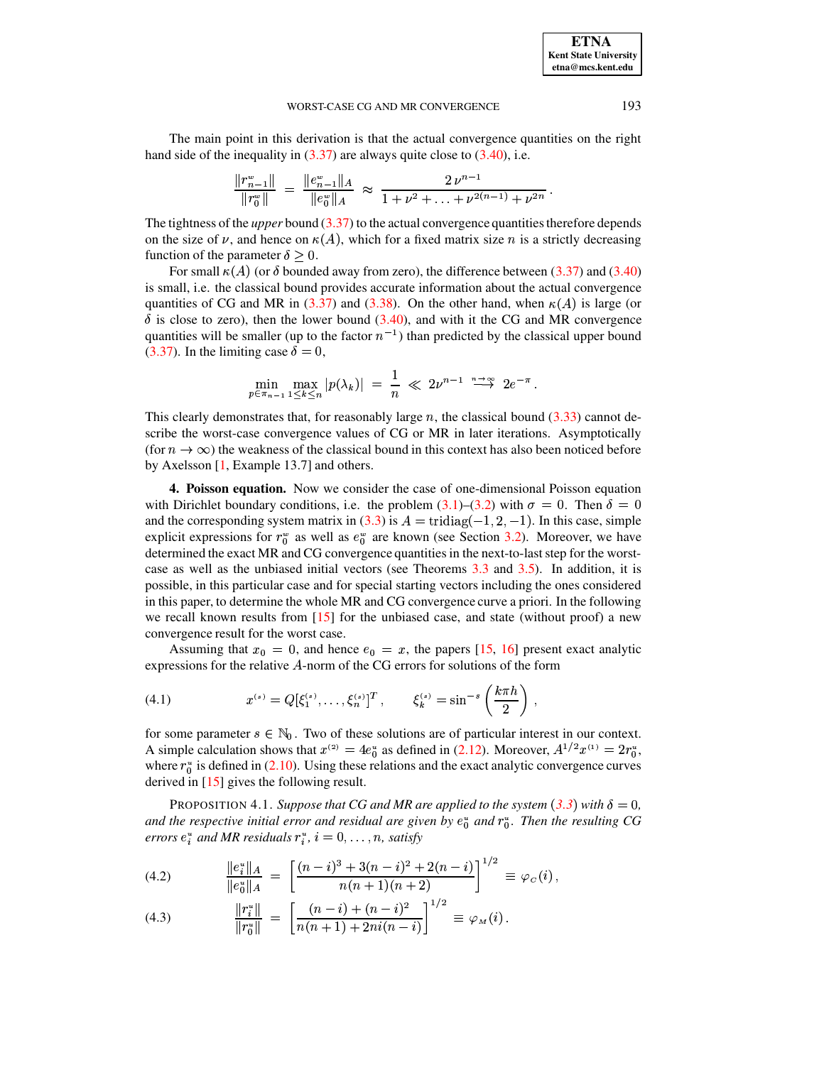The main point in this derivation is that the actual convergence quantities on the right hand side of the inequality in  $(3.37)$  are always quite close to  $(3.40)$ , i.e.

$$
\frac{\|r_{n-1}^w\|}{\|r_0^w\|} = \frac{\|e_{n-1}^w\|_A}{\|e_0^w\|_A} \approx \frac{2 \nu^{n-1}}{1 + \nu^2 + \ldots + \nu^{2(n-1)} + \nu^{2n}}.
$$

The tightness of the *upper* bound  $(3.37)$  to the actual convergence quantities therefore depends on the size of  $\nu$ , and hence on  $\kappa(A)$ , which for a fixed matrix size *n* is a strictly decreasing function of the parameter  $\delta \geq 0$ .

For small  $\kappa(A)$  (or  $\delta$  bounded away from zero), the difference between [\(3.37\)](#page-12-0) and [\(3.40\)](#page-12-0) is small, i.e. the classical bound provides accurate information about the actual convergence quantities of CG and MR in [\(3.37\)](#page-12-0) and [\(3.38\)](#page-12-0). On the other hand, when  $\kappa(A)$  is large (or  $\delta$  is close to zero), then the lower bound [\(3.40\)](#page-12-0), and with it the CG and MR convergence quantities will be smaller (up to the factor  $n^{-1}$ ) than predicted by the classical upper bound [\(3.37\)](#page-12-0). In the limiting case  $\delta = 0$ ,

$$
\min_{p\in \pi_{n-1}}\max_{1\leq k\leq n}|p(\lambda_k)|\;=\;\frac{1}{n}\;\ll\; 2\nu^{n-1}\;\overset{\scriptscriptstyle n\rightarrow\infty}{\longrightarrow}\;2e^{-\pi}\,.
$$

This clearly demonstrates that, for reasonably large  $n$ , the classical bound  $(3.33)$  cannot describe the worst-case convergence values of CG or MR in later iterations. Asymptotically (for  $n \to \infty$ ) the weakness of the classical bound in this context has also been noticed before by Axelsson [\[1,](#page-16-0) Example 13.7] and others.

<span id="page-13-0"></span>**4. Poisson equation.** Now we consider the case of one-dimensional Poisson equation with Dirichlet boundary conditions, i.e. the problem  $(3.1)$ – $(3.2)$  with  $\sigma = 0$ . Then  $\delta = 0$ and the corresponding system matrix in [\(3.3\)](#page-4-4) is  $A = \text{tridiag}(-1, 2, -1)$ . In this case, simple where the contract of the contract of the contract of the contract of the contract of the contract of the contract of the contract of the contract of the contract of the contract of the contract of the contract of the cont explicit expressions for  $r_0^{\omega}$  as well as  $e_0^{\omega}$  are known (see Section [3.2\)](#page-6-4). Moreover, we have determined the exact MR and CG convergence quantities in the next-to-laststep for the worstcase as well as the unbiased initial vectors (see Theorems [3.3](#page-8-3) and [3.5\)](#page-10-3). In addition, it is possible, in this particular case and for special starting vectors including the ones considered in this paper, to determine the whole MR and CG convergence curve a priori. In the following we recall known results from  $\left[15\right]$  for the unbiased case, and state (without proof) a new convergence result for the worst case.

Assuming that  $x_0 = 0$ , and hence  $e_0 = x$ , the papers [\[15,](#page-17-11) [16\]](#page-17-12) present exact analytic expressions for the relative  $A$ -norm of the CG errors for solutions of the form

(4.1) 
$$
x^{(s)} = Q[\xi_1^{(s)}, \dots, \xi_n^{(s)}]^T, \qquad \xi_k^{(s)} = \sin^{-s} \left(\frac{k\pi h}{2}\right),
$$

for some parameter  $s \in \mathbb{N}_0$ . Two of these solutions are of particular interest in our context. for some parameter  $s \in \mathbb{N}_0$ . Two of these solutions are of particular interest in our context.<br>A simple calculation shows that  $x^{(2)} = 4e_0^*$  as defined in [\(2.12\)](#page-4-8). Moreover,  $A^{1/2}x^{(1)} = 2r_0^*$ , where  $r_0^*$  is defined in [\(2.10\)](#page-4-1). Using these relations and the exact analytic convergence curves derived in [\[15\]](#page-17-11) gives the following result.

PROPOSITION 4.1. *Suppose that CG and MR are applied to the system* ([3.3](#page-4-4)) with  $\delta = 0$ , *and* the respective initial error and residual are given by  $e_0^*$  and  $r_0^*$ . Then the resulting CG *errors*  $e_i^u$  and MR residuals  $r_i^u$ ,  $i = 0, \ldots, n$ , satisfy

<span id="page-13-1"></span>(4.2) 
$$
\frac{\|e_i^u\|_A}{\|e_0^u\|_A} = \left[\frac{(n-i)^3 + 3(n-i)^2 + 2(n-i)}{n(n+1)(n+2)}\right]^{1/2} \equiv \varphi_C(i),
$$

(4.3) 
$$
\frac{\|r_i^u\|}{\|r_0^u\|} = \left[\frac{(n-i) + (n-i)^2}{n(n+1) + 2ni(n-i)}\right]^{1/2} \equiv \varphi_M(i).
$$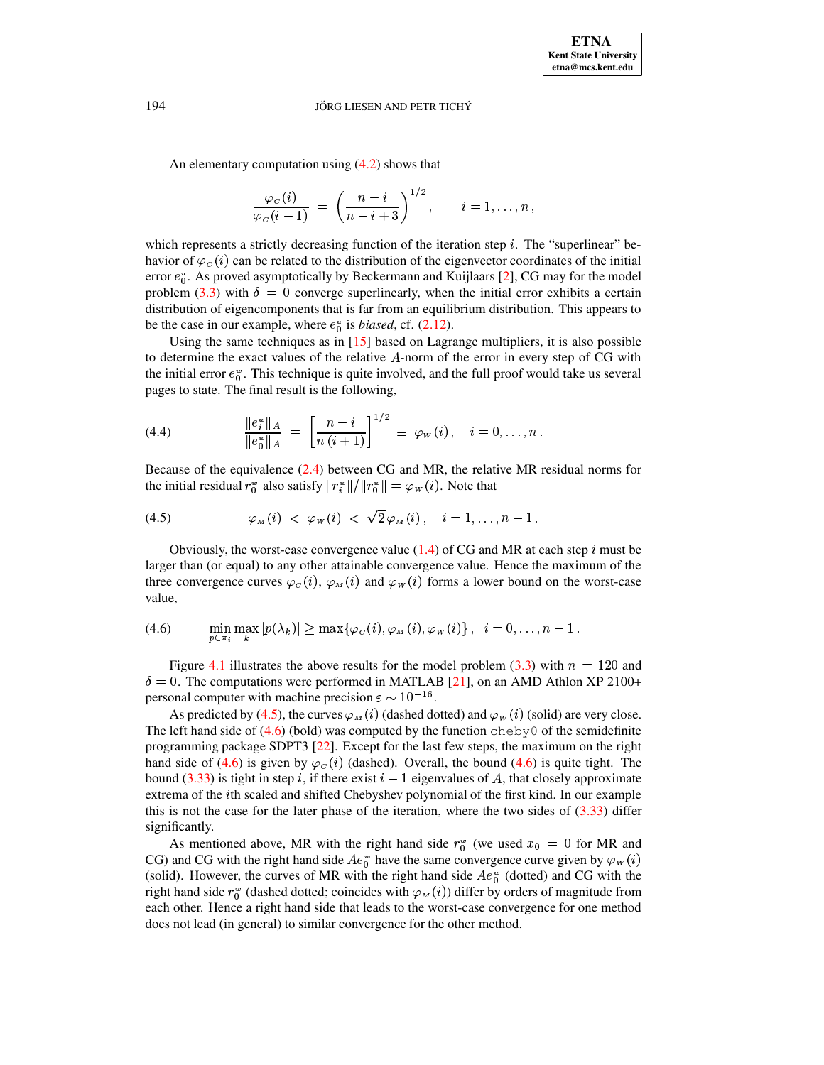An elementary computation using [\(4.2\)](#page-13-1) shows that

$$
\frac{\varphi_{\scriptscriptstyle C}(i)}{\varphi_{\scriptscriptstyle C}(i-1)} \; = \; \left(\frac{n-i}{n-i+3}\right)^{1/2}, \qquad i=1,\ldots,n \, ,
$$

which represents a strictly decreasing function of the iteration step  $i$ . The "superlinear" behavior of  $\varphi_C(i)$  can be related to the distribution of the eigenvector coordinates of the initial error  $e_0^u$ . As proved asymptotically by Beckermann and Kuijlaars [\[2\]](#page-17-10), CG may for the model problem [\(3.3\)](#page-4-4) with  $\delta = 0$  converge superlinearly, when the initial error exhibits a certain distribution of eigencomponents that is far from an equilibrium distribution. This appears to be the case in our example, where  $e_0^u$  is *biased*, cf. [\(2.12\)](#page-4-8).

Using the same techniques as in  $[15]$  based on Lagrange multipliers, it is also possible to determine the exact values of the relative  $A$ -norm of the error in every step of CG with the initial error  $e_0^*$ . This technique is quite involved, and the full proof would take us several pages to state. The final result is the following,

(4.4) 
$$
\frac{\|e_i^w\|_A}{\|e_0^w\|_A} = \left[\frac{n-i}{n(i+1)}\right]^{1/2} \equiv \varphi_w(i), \quad i = 0, \ldots, n.
$$

Because of the equivalence [\(2.4\)](#page-3-2) between CG and MR, the relative MR residual norms for the initial residual  $r_0^{\omega}$  also satisfy  $||r_i^{\omega}||/||r_0^{\omega}|| = \varphi_w(i)$ . Note that

<span id="page-14-0"></span>(4.5) 
$$
\varphi_M(i) < \varphi_W(i) < \sqrt{2} \varphi_M(i), \quad i = 1, \dots, n-1.
$$

Obviously, the worst-case convergence value  $(1.4)$  of CG and MR at each step  $\dot{i}$  must be larger than (or equal) to any other attainable convergence value. Hence the maximum of the three convergence curves  $\varphi_c(i)$ ,  $\varphi_M(i)$  and  $\varphi_W(i)$  forms a lower bound on the worst-case value,

<span id="page-14-1"></span>
$$
(4.6) \qquad \min_{n \in \pi_i} \max_k |p(\lambda_k)| \geq \max\{\varphi_C(i), \varphi_M(i), \varphi_W(i)\}, \quad i = 0, \ldots, n-1.
$$

Figure [4.1](#page-15-1) illustrates the above results for the model problem  $(3.3)$  with  $n = 120$  and  $\delta = 0$ . The computations were performed in MATLAB [\[21\]](#page-17-18), on an AMD Athlon XP 2100+ personal computer with machine precision  $\varepsilon \sim 10^{-16}$ .

As predicted by [\(4.5\)](#page-14-0), the curves  $\varphi_M(i)$  (dashed dotted) and  $\varphi_W(i)$  (solid) are very close. The left hand side of  $(4.6)$  (bold) was computed by the function cheby0 of the semidefinite programming package SDPT3 [\[22\]](#page-17-19). Except for the last few steps, the maximum on the right hand side of [\(4.6\)](#page-14-1) is given by  $\varphi_C(i)$  (dashed). Overall, the bound (4.6) is quite tight. The bound [\(3.33\)](#page-12-1) is tight in step i, if there exist  $i-1$  eigenvalues of A, that closely approximate extrema of the  $i$ th scaled and shifted Chebyshev polynomial of the first kind. In our example this is not the case for the later phase of the iteration, where the two sides of  $(3.33)$  differ significantly.

As mentioned above, MR with the right hand side  $r_0^{\omega}$  (we used  $x_0 = 0$  for MR and CG) and CG with the right hand side  $Ae_0^*$  have the same convergence curve given by  $\varphi_w(i)$ (solid). However, the curves of MR with the right hand side  $Ae_0^{\alpha}$  (dotted) and CG with the right hand side  $r_0^w$  (dashed dotted; coincides with  $\varphi_M(i)$ ) differ by orders of magnitude from each other. Hence a right hand side that leads to the worst-case convergence for one method does not lead (in general) to similar convergence for the other method.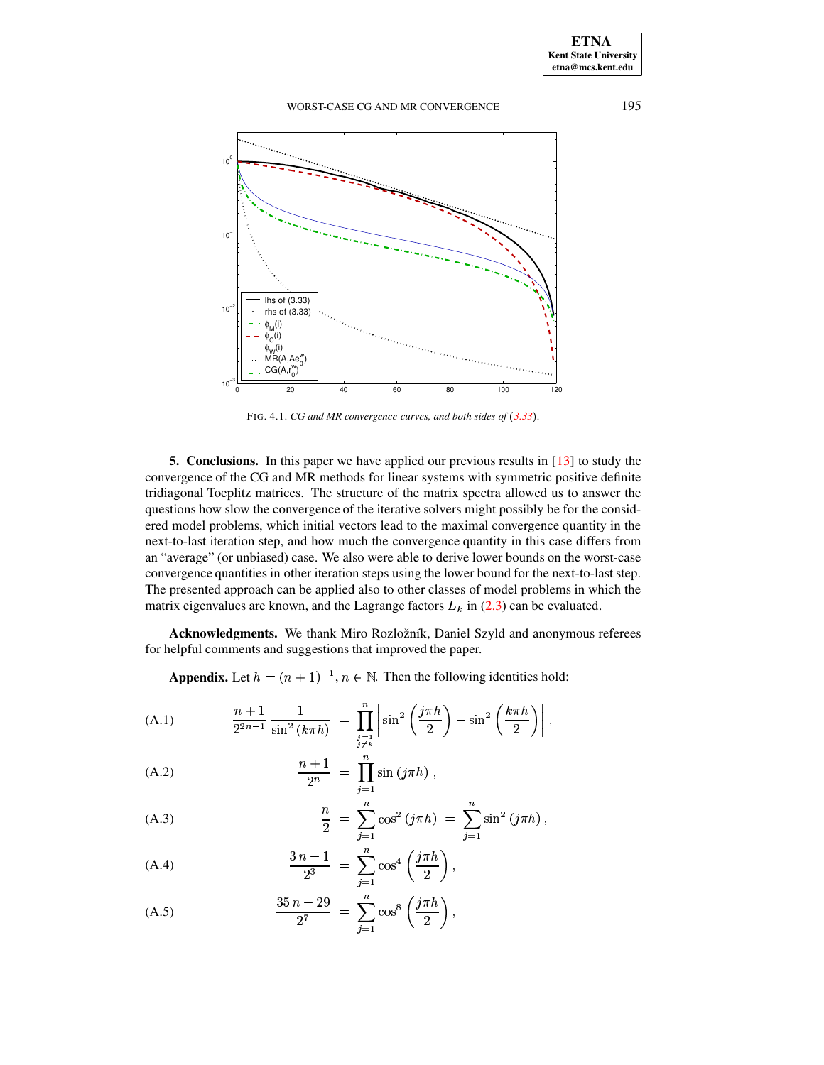

<span id="page-15-1"></span>FIG. 4.1. CG and MR convergence curves, and both sides of  $(3.33)$ .

<span id="page-15-0"></span>**5. Conclusions.** In this paper we have applied our previous results in [13] to study the convergence of the CG and MR methods for linear systems with symmetric positive definite tridiagonal Toeplitz matrices. The structure of the matrix spectra allowed us to answer the questions how slow the convergence of the iterative solvers might possibly be for the considered model problems, which initial vectors lead to the maximal convergence quantity in the next-to-last iteration step, and how much the convergence quantity in this case differs from an "average" (or unbiased) case. We also were able to derive lower bounds on the worst-case convergence quantities in other iteration steps using the lower bound for the next-to-last step. The presented approach can be applied also to other classes of model problems in which the matrix eigenvalues are known, and the Lagrange factors  $L_k$  in (2.3) can be evaluated.

Acknowledgments. We thank Miro Rozložník, Daniel Szyld and anonymous referees for helpful comments and suggestions that improved the paper.

**Appendix.** Let  $h = (n + 1)^{-1}$ ,  $n \in \mathbb{N}$ . Then the following identities hold:

<span id="page-15-2"></span>(A.1) 
$$
\frac{n+1}{2^{2n-1}} \frac{1}{\sin^2(k\pi h)} = \prod_{\substack{j=1\\j\neq k}}^{n} \left| \sin^2\left(\frac{j\pi h}{2}\right) - \sin^2\left(\frac{k\pi h}{2}\right) \right|,
$$

(A.2) 
$$
\frac{n+1}{2^n} = \prod_{j=1}^n \sin(j\pi h) ,
$$

(A.3) 
$$
\frac{n}{2} = \sum_{j=1}^{n} \cos^2 (j\pi h) = \sum_{j=1}^{n} \sin^2 (j\pi h),
$$

(A.4) 
$$
\frac{3 n - 1}{2^3} = \sum_{j=1}^n \cos^4 \left( \frac{j \pi h}{2} \right),
$$

(A.5) 
$$
\frac{35 n - 29}{2^7} = \sum_{j=1}^n \cos^8 \left( \frac{j \pi h}{2} \right),
$$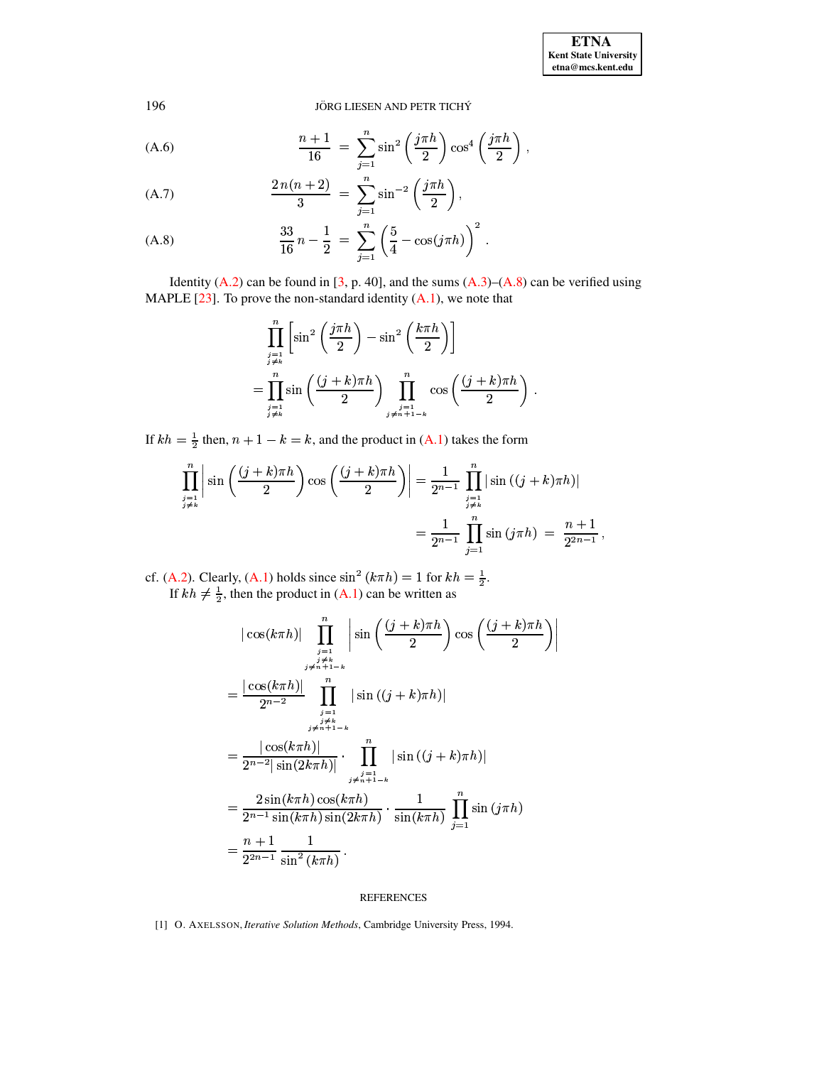196

### JÖRG LIESEN AND PETR TICHÝ

(A.6) 
$$
\frac{n+1}{16} = \sum_{j=1}^{n} \sin^2 \left( \frac{j \pi h}{2} \right) \cos^4 \left( \frac{j \pi h}{2} \right)
$$

(A.7) 
$$
\frac{2 n(n+2)}{3} = \sum_{j=1}^{n} \sin^{-2} \left( \frac{j \pi h}{2} \right),
$$

(A.8) 
$$
\frac{33}{16}n - \frac{1}{2} = \sum_{j=1}^{n} \left(\frac{5}{4} - \cos(j\pi h)\right)^2.
$$

Identity (A.2) can be found in [3, p. 40], and the sums  $(A.3)$ – $(A.8)$  can be verified using MAPLE  $[23]$ . To prove the non-standard identity  $(A.1)$ , we note that

$$
\prod_{\substack{j=1\\j\neq k}}^{n} \left[ \sin^2\left(\frac{j\pi h}{2}\right) - \sin^2\left(\frac{k\pi h}{2}\right) \right]
$$
\n
$$
= \prod_{\substack{j=1\\j\neq k}}^{n} \sin\left(\frac{(j+k)\pi h}{2}\right) \prod_{\substack{j=1\\j\neq n+1-k}}^{n} \cos\left(\frac{(j+k)\pi h}{2}\right)
$$

If  $kh = \frac{1}{2}$  then,  $n + 1 - k = k$ , and the product in (A.1) takes the form

$$
\prod_{\substack{j=1\\j\neq k}}^{n} \left| \sin \left( \frac{(j+k)\pi h}{2} \right) \cos \left( \frac{(j+k)\pi h}{2} \right) \right| = \frac{1}{2^{n-1}} \prod_{\substack{j=1\\j\neq k}}^{n} \left| \sin \left( (j+k)\pi h \right) \right|
$$

$$
= \frac{1}{2^{n-1}} \prod_{j=1}^{n} \sin \left( j\pi h \right) = \frac{n+1}{2^{2n-1}},
$$

cf. (A.2). Clearly, (A.1) holds since  $\sin^2(k\pi h) = 1$  for  $kh = \frac{1}{2}$ .<br>If  $kh \neq \frac{1}{2}$ , then the product in (A.1) can be written as

$$
\begin{split}\n&|\cos(k\pi h)|\prod_{\substack{j=1\\j\neq h+1-k}}^{n}\sin\left(\frac{(j+k)\pi h}{2}\right)\cos\left(\frac{(j+k)\pi h}{2}\right) \\
&=\frac{|\cos(k\pi h)|}{2^{n-2}}\prod_{\substack{j=1\\j\neq h+1-k}}^{n}\sin((j+k)\pi h)| \\
&=\frac{|\cos(k\pi h)|}{2^{n-2}|\sin(2k\pi h)|}\cdot\prod_{\substack{j=1\\j\neq h+1-k}}^{n}\sin((j+k)\pi h)| \\
&=\frac{2\sin(k\pi h)\cos(k\pi h)}{2^{n-1}\sin(k\pi h)\sin(2k\pi h)}\cdot\frac{1}{\sin(k\pi h)}\prod_{j=1}^{n}\sin(j\pi h) \\
&=\frac{n+1}{2^{2n-1}}\frac{1}{\sin^2(k\pi h)}.\n\end{split}
$$

# **REFERENCES**

<span id="page-16-0"></span>[1] O. AXELSSON, Iterative Solution Methods, Cambridge University Press, 1994.